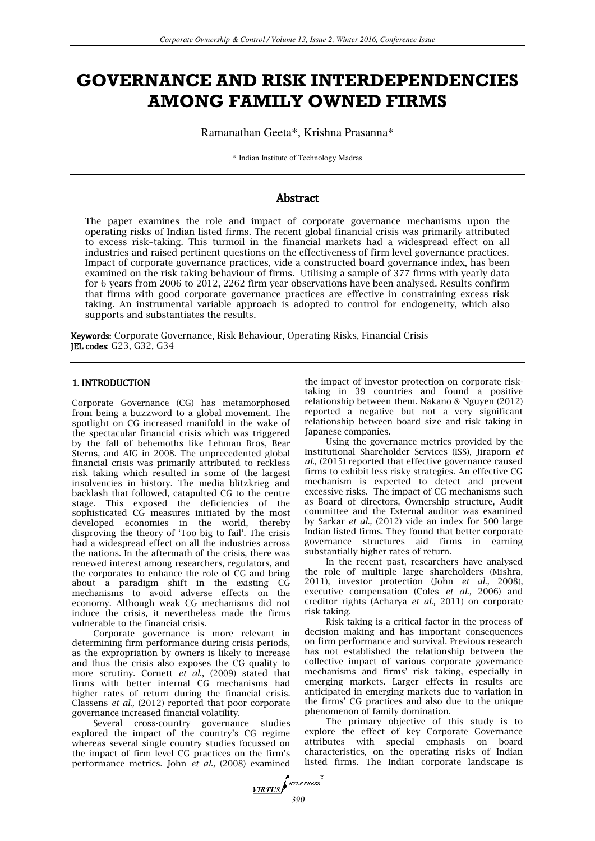# **GOVERNANCE AND RISK INTERDEPENDENCIES AMONG FAMILY OWNED FIRMS**

Ramanathan Geeta\*, Krishna Prasanna\*

\* Indian Institute of Technology Madras

# Abstract

The paper examines the role and impact of corporate governance mechanisms upon the operating risks of Indian listed firms. The recent global financial crisis was primarily attributed to excess risk–taking. This turmoil in the financial markets had a widespread effect on all industries and raised pertinent questions on the effectiveness of firm level governance practices. Impact of corporate governance practices, vide a constructed board governance index, has been examined on the risk taking behaviour of firms. Utilising a sample of 377 firms with yearly data for 6 years from 2006 to 2012, 2262 firm year observations have been analysed. Results confirm that firms with good corporate governance practices are effective in constraining excess risk taking. An instrumental variable approach is adopted to control for endogeneity, which also supports and substantiates the results.

Keywords: Corporate Governance, Risk Behaviour, Operating Risks, Financial Crisis JEL codes: G23, G32, G34

# 1. INTRODUCTION

Corporate Governance (CG) has metamorphosed from being a buzzword to a global movement. The spotlight on CG increased manifold in the wake of the spectacular financial crisis which was triggered by the fall of behemoths like Lehman Bros, Bear Sterns, and AIG in 2008. The unprecedented global financial crisis was primarily attributed to reckless risk taking which resulted in some of the largest insolvencies in history. The media blitzkrieg and backlash that followed, catapulted CG to the centre stage. This exposed the deficiencies of the sophisticated CG measures initiated by the most developed economies in the world, thereby disproving the theory of 'Too big to fail'. The crisis had a widespread effect on all the industries across the nations. In the aftermath of the crisis, there was renewed interest among researchers, regulators, and the corporates to enhance the role of CG and bring about a paradigm shift in the existing CG mechanisms to avoid adverse effects on the economy. Although weak CG mechanisms did not induce the crisis, it nevertheless made the firms vulnerable to the financial crisis.

Corporate governance is more relevant in determining firm performance during crisis periods, as the expropriation by owners is likely to increase and thus the crisis also exposes the CG quality to more scrutiny. Cornett *et al*., (2009) stated that firms with better internal CG mechanisms had higher rates of return during the financial crisis. Classens *et al.,* (2012) reported that poor corporate governance increased financial volatility.

Several cross-country governance studies explored the impact of the country's CG regime whereas several single country studies focussed on the impact of firm level CG practices on the firm's performance metrics. John *et al.,* (2008) examined

the impact of investor protection on corporate risktaking in 39 countries and found a positive relationship between them. Nakano & Nguyen (2012) reported a negative but not a very significant relationship between board size and risk taking in Japanese companies.

Using the governance metrics provided by the Institutional Shareholder Services (ISS), Jiraporn *et al.,* (2015) reported that effective governance caused firms to exhibit less risky strategies. An effective CG mechanism is expected to detect and prevent excessive risks. The impact of CG mechanisms such as Board of directors, Ownership structure, Audit committee and the External auditor was examined by Sarkar *et al.,* (2012) vide an index for 500 large Indian listed firms. They found that better corporate governance structures aid firms in earning substantially higher rates of return.

In the recent past, researchers have analysed the role of multiple large shareholders (Mishra, 2011), investor protection (John *et al.,* 2008), executive compensation (Coles *et al.,* 2006) and creditor rights (Acharya *et al.,* 2011) on corporate risk taking.

Risk taking is a critical factor in the process of decision making and has important consequences on firm performance and survival. Previous research has not established the relationship between the collective impact of various corporate governance mechanisms and firms' risk taking, especially in emerging markets. Larger effects in results are anticipated in emerging markets due to variation in the firms' CG practices and also due to the unique phenomenon of family domination.

The primary objective of this study is to explore the effect of key Corporate Governance attributes with special emphasis on board characteristics, on the operating risks of Indian listed firms. The Indian corporate landscape is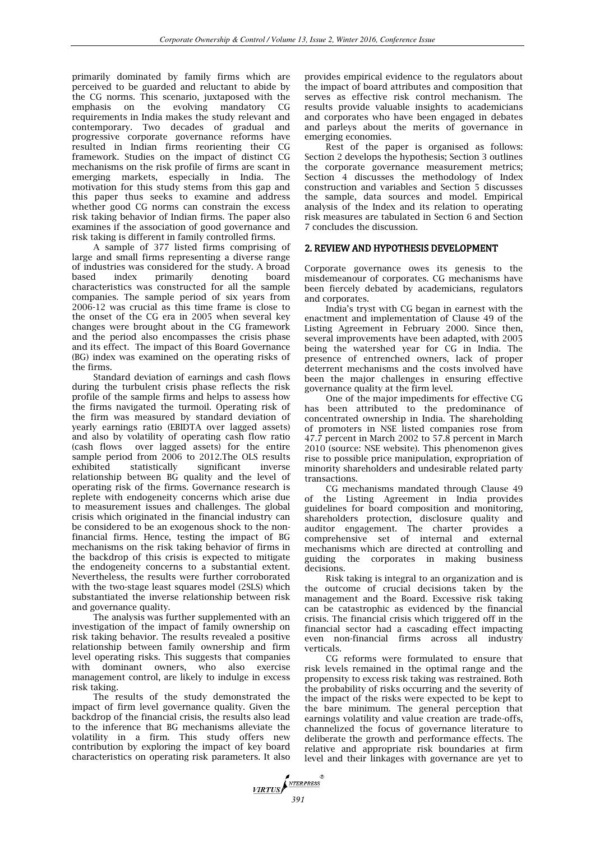primarily dominated by family firms which are perceived to be guarded and reluctant to abide by the CG norms. This scenario, juxtaposed with the<br>emphasis on the evolving mandatory CG evolving mandatory CG requirements in India makes the study relevant and contemporary. Two decades of gradual and progressive corporate governance reforms have resulted in Indian firms reorienting their CG framework. Studies on the impact of distinct CG mechanisms on the risk profile of firms are scant in emerging markets, especially in India. The motivation for this study stems from this gap and this paper thus seeks to examine and address whether good CG norms can constrain the excess risk taking behavior of Indian firms. The paper also examines if the association of good governance and risk taking is different in family controlled firms.

A sample of 377 listed firms comprising of large and small firms representing a diverse range of industries was considered for the study. A broad<br>based index primarily denoting board based index primarily denoting board characteristics was constructed for all the sample companies. The sample period of six years from 2006-12 was crucial as this time frame is close to the onset of the CG era in 2005 when several key changes were brought about in the CG framework and the period also encompasses the crisis phase and its effect. The impact of this Board Governance (BG) index was examined on the operating risks of the firms.

Standard deviation of earnings and cash flows during the turbulent crisis phase reflects the risk profile of the sample firms and helps to assess how the firms navigated the turmoil. Operating risk of the firm was measured by standard deviation of yearly earnings ratio (EBIDTA over lagged assets) and also by volatility of operating cash flow ratio (cash flows over lagged assets) for the entire sample period from 2006 to 2012.The OLS results exhibited statistically significant inverse relationship between BG quality and the level of operating risk of the firms. Governance research is replete with endogeneity concerns which arise due to measurement issues and challenges. The global crisis which originated in the financial industry can be considered to be an exogenous shock to the nonfinancial firms. Hence, testing the impact of BG mechanisms on the risk taking behavior of firms in the backdrop of this crisis is expected to mitigate the endogeneity concerns to a substantial extent. Nevertheless, the results were further corroborated with the two-stage least squares model (2SLS) which substantiated the inverse relationship between risk and governance quality.

The analysis was further supplemented with an investigation of the impact of family ownership on risk taking behavior. The results revealed a positive relationship between family ownership and firm level operating risks. This suggests that companies with dominant owners, who also exercise management control, are likely to indulge in excess risk taking.

The results of the study demonstrated the impact of firm level governance quality. Given the backdrop of the financial crisis, the results also lead to the inference that BG mechanisms alleviate the volatility in a firm. This study offers new contribution by exploring the impact of key board characteristics on operating risk parameters. It also provides empirical evidence to the regulators about the impact of board attributes and composition that serves as effective risk control mechanism. The results provide valuable insights to academicians and corporates who have been engaged in debates and parleys about the merits of governance in emerging economies.

Rest of the paper is organised as follows: Section 2 develops the hypothesis; Section 3 outlines the corporate governance measurement metrics; Section 4 discusses the methodology of Index construction and variables and Section 5 discusses the sample, data sources and model. Empirical analysis of the Index and its relation to operating risk measures are tabulated in Section 6 and Section 7 concludes the discussion.

# 2. REVIEW AND HYPOTHESIS DEVELOPMENT

Corporate governance owes its genesis to the misdemeanour of corporates. CG mechanisms have been fiercely debated by academicians, regulators and corporates.

India's tryst with CG began in earnest with the enactment and implementation of Clause 49 of the Listing Agreement in February 2000. Since then, several improvements have been adapted, with 2005 being the watershed year for CG in India. The presence of entrenched owners, lack of proper deterrent mechanisms and the costs involved have been the major challenges in ensuring effective governance quality at the firm level.

One of the major impediments for effective CG has been attributed to the predominance of concentrated ownership in India. The shareholding of promoters in NSE listed companies rose from 47.7 percent in March 2002 to 57.8 percent in March 2010 (source: NSE website). This phenomenon gives rise to possible price manipulation, expropriation of minority shareholders and undesirable related party transactions.

CG mechanisms mandated through Clause 49 of the Listing Agreement in India provides guidelines for board composition and monitoring, shareholders protection, disclosure quality and auditor engagement. The charter provides a comprehensive set of internal and external mechanisms which are directed at controlling and guiding the corporates in making business decisions.

Risk taking is integral to an organization and is the outcome of crucial decisions taken by the management and the Board. Excessive risk taking can be catastrophic as evidenced by the financial crisis. The financial crisis which triggered off in the financial sector had a cascading effect impacting even non-financial firms across all industry verticals.

CG reforms were formulated to ensure that risk levels remained in the optimal range and the propensity to excess risk taking was restrained. Both the probability of risks occurring and the severity of the impact of the risks were expected to be kept to the bare minimum. The general perception that earnings volatility and value creation are trade-offs, channelized the focus of governance literature to deliberate the growth and performance effects. The relative and appropriate risk boundaries at firm level and their linkages with governance are yet to

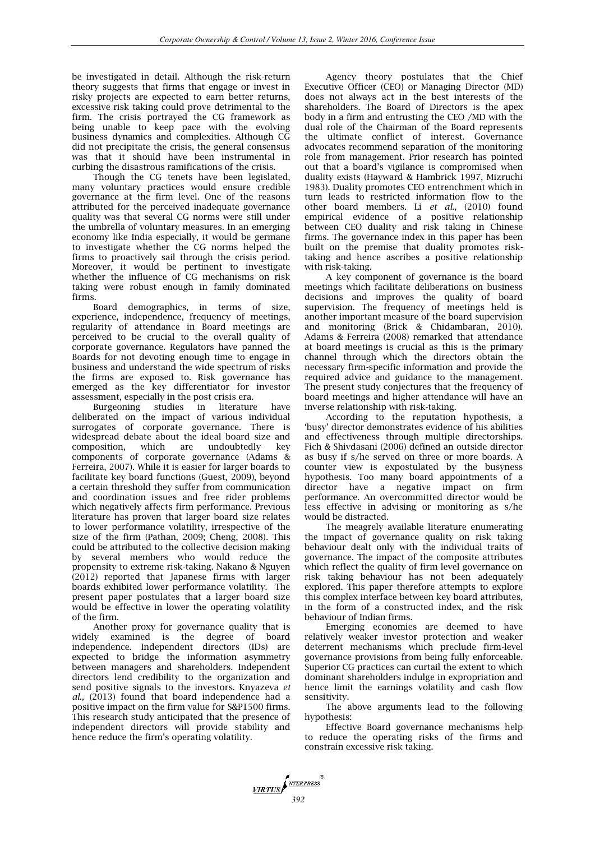be investigated in detail. Although the risk-return theory suggests that firms that engage or invest in risky projects are expected to earn better returns, excessive risk taking could prove detrimental to the firm. The crisis portrayed the CG framework as being unable to keep pace with the evolving business dynamics and complexities. Although CG did not precipitate the crisis, the general consensus was that it should have been instrumental in curbing the disastrous ramifications of the crisis.

Though the CG tenets have been legislated, many voluntary practices would ensure credible governance at the firm level. One of the reasons attributed for the perceived inadequate governance quality was that several CG norms were still under the umbrella of voluntary measures. In an emerging economy like India especially, it would be germane to investigate whether the CG norms helped the firms to proactively sail through the crisis period. Moreover, it would be pertinent to investigate whether the influence of CG mechanisms on risk taking were robust enough in family dominated firms.

Board demographics, in terms of size, experience, independence, frequency of meetings, regularity of attendance in Board meetings are perceived to be crucial to the overall quality of corporate governance. Regulators have panned the Boards for not devoting enough time to engage in business and understand the wide spectrum of risks the firms are exposed to. Risk governance has emerged as the key differentiator for investor assessment, especially in the post crisis era.

Burgeoning studies in literature have deliberated on the impact of various individual surrogates of corporate governance. There is widespread debate about the ideal board size and composition, which are undoubtedly key components of corporate governance (Adams & Ferreira, 2007). While it is easier for larger boards to facilitate key board functions (Guest, 2009), beyond a certain threshold they suffer from communication and coordination issues and free rider problems which negatively affects firm performance. Previous literature has proven that larger board size relates to lower performance volatility, irrespective of the size of the firm (Pathan, 2009; Cheng, 2008). This could be attributed to the collective decision making by several members who would reduce the propensity to extreme risk-taking. Nakano & Nguyen (2012) reported that Japanese firms with larger boards exhibited lower performance volatility. The present paper postulates that a larger board size would be effective in lower the operating volatility of the firm.

Another proxy for governance quality that is widely examined is the degree of board independence. Independent directors (IDs) are expected to bridge the information asymmetry between managers and shareholders. Independent directors lend credibility to the organization and send positive signals to the investors. Knyazeva *et al.,* (2013) found that board independence had a positive impact on the firm value for S&P1500 firms. This research study anticipated that the presence of independent directors will provide stability and hence reduce the firm's operating volatility.

Agency theory postulates that the Chief Executive Officer (CEO) or Managing Director (MD) does not always act in the best interests of the shareholders. The Board of Directors is the apex body in a firm and entrusting the CEO /MD with the dual role of the Chairman of the Board represents the ultimate conflict of interest. Governance advocates recommend separation of the monitoring role from management. Prior research has pointed out that a board's vigilance is compromised when duality exists (Hayward & Hambrick 1997, Mizruchi 1983). Duality promotes CEO entrenchment which in turn leads to restricted information flow to the other board members. Li *et al.,* (2010) found empirical evidence of a positive relationship between CEO duality and risk taking in Chinese firms. The governance index in this paper has been built on the premise that duality promotes risktaking and hence ascribes a positive relationship with risk-taking.

A key component of governance is the board meetings which facilitate deliberations on business decisions and improves the quality of board supervision. The frequency of meetings held is another important measure of the board supervision and monitoring (Brick & Chidambaran, 2010). Adams & Ferreira (2008) remarked that attendance at board meetings is crucial as this is the primary channel through which the directors obtain the necessary firm-specific information and provide the required advice and guidance to the management. The present study conjectures that the frequency of board meetings and higher attendance will have an inverse relationship with risk-taking.

According to the reputation hypothesis, a 'busy' director demonstrates evidence of his abilities and effectiveness through multiple directorships. Fich & Shivdasani (2006) defined an outside director as busy if s/he served on three or more boards. A counter view is expostulated by the busyness hypothesis. Too many board appointments of a director have a negative impact on firm performance. An overcommitted director would be less effective in advising or monitoring as s/he would be distracted.

The meagrely available literature enumerating the impact of governance quality on risk taking behaviour dealt only with the individual traits of governance. The impact of the composite attributes which reflect the quality of firm level governance on risk taking behaviour has not been adequately explored. This paper therefore attempts to explore this complex interface between key board attributes, in the form of a constructed index, and the risk behaviour of Indian firms.

Emerging economies are deemed to have relatively weaker investor protection and weaker deterrent mechanisms which preclude firm-level governance provisions from being fully enforceable. Superior CG practices can curtail the extent to which dominant shareholders indulge in expropriation and hence limit the earnings volatility and cash flow sensitivity.

The above arguments lead to the following hypothesis:

Effective Board governance mechanisms help to reduce the operating risks of the firms and constrain excessive risk taking.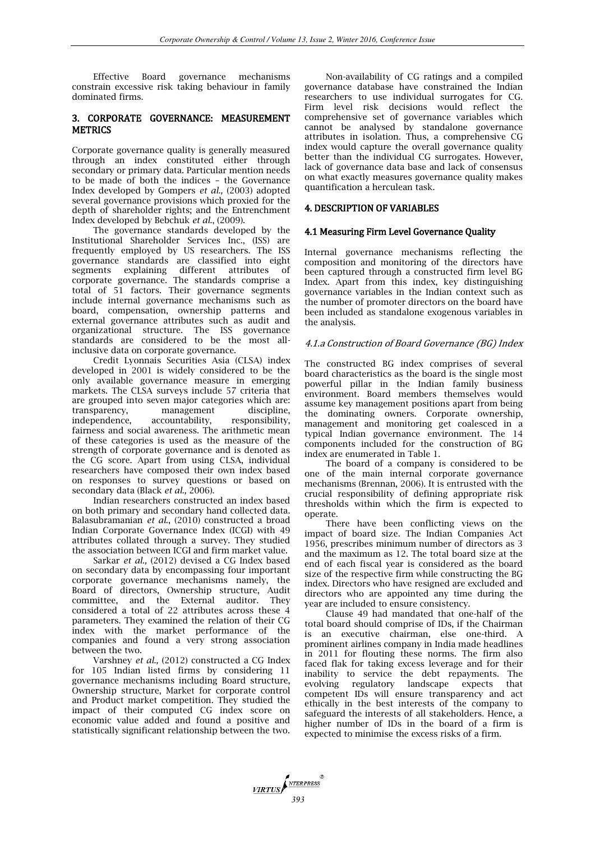Effective Board governance mechanisms constrain excessive risk taking behaviour in family dominated firms.

# 3. CORPORATE GOVERNANCE: MEASUREMENT **METRICS**

Corporate governance quality is generally measured through an index constituted either through secondary or primary data. Particular mention needs to be made of both the indices – the Governance Index developed by Gompers *et al.,* (2003) adopted several governance provisions which proxied for the depth of shareholder rights; and the Entrenchment Index developed by Bebchuk *et al.*, (2009).

The governance standards developed by the Institutional Shareholder Services Inc., (ISS) are frequently employed by US researchers. The ISS governance standards are classified into eight segments explaining different attributes of corporate governance. The standards comprise a total of 51 factors. Their governance segments include internal governance mechanisms such as board, compensation, ownership patterns and external governance attributes such as audit and organizational structure. The ISS governance standards are considered to be the most allinclusive data on corporate governance.

Credit Lyonnais Securities Asia (CLSA) index developed in 2001 is widely considered to be the only available governance measure in emerging markets. The CLSA surveys include 57 criteria that are grouped into seven major categories which are: transparency, management discipline, independence, accountability, responsibility, fairness and social awareness. The arithmetic mean of these categories is used as the measure of the strength of corporate governance and is denoted as the CG score. Apart from using CLSA, individual researchers have composed their own index based on responses to survey questions or based on secondary data (Black *et al.,* 2006).

Indian researchers constructed an index based on both primary and secondary hand collected data. Balasubramanian *et al*., (2010) constructed a broad Indian Corporate Governance Index (ICGI) with 49 attributes collated through a survey. They studied the association between ICGI and firm market value.

Sarkar *et al.,* (2012) devised a CG Index based on secondary data by encompassing four important corporate governance mechanisms namely, the Board of directors, Ownership structure, Audit committee, and the External auditor. They considered a total of 22 attributes across these 4 parameters. They examined the relation of their CG index with the market performance of the companies and found a very strong association between the two.

Varshney *et al.,* (2012) constructed a CG Index for 105 Indian listed firms by considering 11 governance mechanisms including Board structure, Ownership structure, Market for corporate control and Product market competition. They studied the impact of their computed CG index score on economic value added and found a positive and statistically significant relationship between the two.

Non-availability of CG ratings and a compiled governance database have constrained the Indian researchers to use individual surrogates for CG. Firm level risk decisions would reflect the comprehensive set of governance variables which cannot be analysed by standalone governance attributes in isolation. Thus, a comprehensive CG index would capture the overall governance quality better than the individual CG surrogates. However, lack of governance data base and lack of consensus on what exactly measures governance quality makes quantification a herculean task.

# 4. DESCRIPTION OF VARIABLES

## 4.1 Measuring Firm Level Governance Quality

Internal governance mechanisms reflecting the composition and monitoring of the directors have been captured through a constructed firm level BG Index. Apart from this index, key distinguishing governance variables in the Indian context such as the number of promoter directors on the board have been included as standalone exogenous variables in the analysis.

## 4.1.a Construction of Board Governance (BG) Index

The constructed BG index comprises of several board characteristics as the board is the single most powerful pillar in the Indian family business environment. Board members themselves would assume key management positions apart from being the dominating owners. Corporate ownership, management and monitoring get coalesced in a typical Indian governance environment. The 14 components included for the construction of BG index are enumerated in Table 1.

The board of a company is considered to be one of the main internal corporate governance mechanisms (Brennan, 2006). It is entrusted with the crucial responsibility of defining appropriate risk thresholds within which the firm is expected to operate.

There have been conflicting views on the impact of board size. The Indian Companies Act 1956, prescribes minimum number of directors as 3 and the maximum as 12. The total board size at the end of each fiscal year is considered as the board size of the respective firm while constructing the BG index. Directors who have resigned are excluded and directors who are appointed any time during the year are included to ensure consistency.

Clause 49 had mandated that one-half of the total board should comprise of IDs, if the Chairman is an executive chairman, else one-third. A prominent airlines company in India made headlines in 2011 for flouting these norms. The firm also faced flak for taking excess leverage and for their inability to service the debt repayments. The evolving regulatory landscape expects that competent IDs will ensure transparency and act ethically in the best interests of the company to safeguard the interests of all stakeholders. Hence, a higher number of IDs in the board of a firm is expected to minimise the excess risks of a firm.

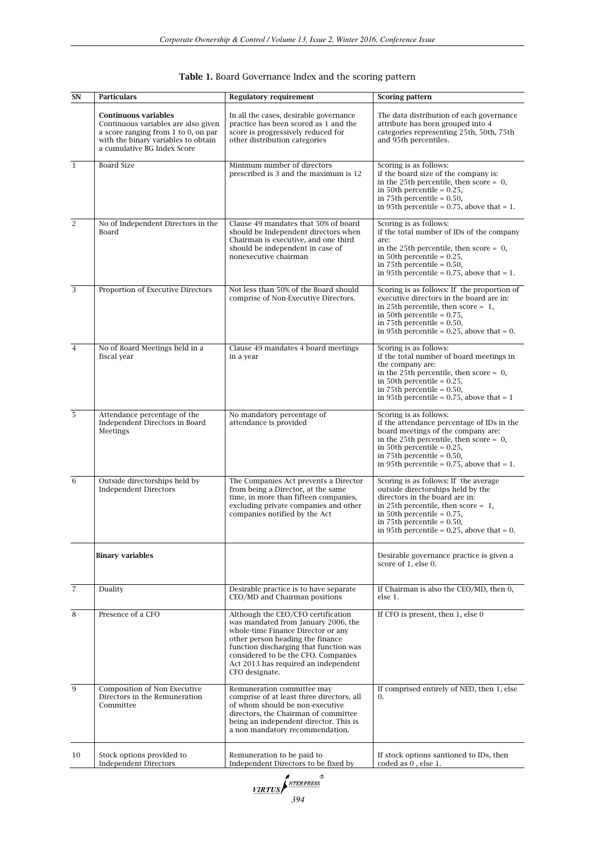| SN             | <b>Particulars</b>                                                                                                                                                                   | <b>Regulatory requirement</b>                                                                                                                                                                                                                                                                  | <b>Scoring pattern</b>                                                                                                                                                                                                                                                    |  |  |
|----------------|--------------------------------------------------------------------------------------------------------------------------------------------------------------------------------------|------------------------------------------------------------------------------------------------------------------------------------------------------------------------------------------------------------------------------------------------------------------------------------------------|---------------------------------------------------------------------------------------------------------------------------------------------------------------------------------------------------------------------------------------------------------------------------|--|--|
|                | <b>Continuous variables</b><br>Continuous variables are also given<br>a score ranging from $1$ to $0$ , on par<br>with the binary variables to obtain<br>a cumulative BG Index Score | In all the cases, desirable governance<br>practice has been scored as 1 and the<br>score is progressively reduced for<br>other distribution categories                                                                                                                                         | The data distribution of each governance<br>attribute has been grouped into 4<br>categories representing 25th, 50th, 75th<br>and 95th percentiles.                                                                                                                        |  |  |
| $\mathbf{1}$   | <b>Board Size</b>                                                                                                                                                                    | Minimum number of directors<br>prescribed is 3 and the maximum is 12                                                                                                                                                                                                                           | Scoring is as follows:<br>if the board size of the company is:<br>in the 25th percentile, then score = $0$ ,<br>in 50th percentile = $0.25$ ,<br>in 75th percentile = $0.50$ ,<br>in 95th percentile = $0.75$ , above that = 1.                                           |  |  |
| $\overline{2}$ | No of Independent Directors in the<br>Board                                                                                                                                          | Clause 49 mandates that 50% of board<br>should be Independent directors when<br>Chairman is executive, and one third<br>should be independent in case of<br>nonexecutive chairman                                                                                                              | Scoring is as follows:<br>if the total number of IDs of the company<br>are:<br>in the 25th percentile, then score = $0$ ,<br>in 50th percentile = $0.25$ ,<br>in 75th percentile = $0.50$ ,<br>in 95th percentile = $0.75$ , above that = 1.                              |  |  |
| 3              | Proportion of Executive Directors                                                                                                                                                    | Not less than 50% of the Board should<br>comprise of Non-Executive Directors.                                                                                                                                                                                                                  | Scoring is as follows: If the proportion of<br>executive directors in the board are in:<br>in 25th percentile, then score = $1$ ,<br>in 50th percentile = $0.75$ ,<br>in 75th percentile = $0.50$ ,<br>in 95th percentile = $0.25$ , above that = 0.                      |  |  |
| $\overline{4}$ | No of Board Meetings held in a<br>fiscal year                                                                                                                                        | Clause 49 mandates 4 board meetings<br>in a year                                                                                                                                                                                                                                               | Scoring is as follows:<br>if the total number of board meetings in<br>the company are:<br>in the 25th percentile, then score = $0$ ,<br>in 50th percentile = $0.25$ ,<br>in 75th percentile = $0.50$ ,<br>in 95th percentile = $0.75$ , above that = 1                    |  |  |
| 5              | Attendance percentage of the<br>Independent Directors in Board<br>Meetings                                                                                                           | No mandatory percentage of<br>attendance is provided                                                                                                                                                                                                                                           |                                                                                                                                                                                                                                                                           |  |  |
| 6              | Outside directorships held by<br><b>Independent Directors</b>                                                                                                                        | The Companies Act prevents a Director<br>from being a Director, at the same<br>time, in more than fifteen companies,<br>excluding private companies and other<br>companies notified by the Act                                                                                                 | Scoring is as follows: If the average<br>outside directorships held by the<br>directors in the board are in:<br>in 25th percentile, then score = $1$ ,<br>in 50th percentile = $0.75$ ,<br>in 75th percentile = $0.50$ ,<br>in 95th percentile = $0.25$ , above that = 0. |  |  |
|                | <b>Binary variables</b>                                                                                                                                                              |                                                                                                                                                                                                                                                                                                | Desirable governance practice is given a<br>score of 1, else 0.                                                                                                                                                                                                           |  |  |
| $\overline{7}$ | Duality                                                                                                                                                                              | Desirable practice is to have separate<br>CEO/MD and Chairman positions                                                                                                                                                                                                                        | If Chairman is also the CEO/MD, then 0,<br>else 1.                                                                                                                                                                                                                        |  |  |
| 8              | Presence of a CFO                                                                                                                                                                    | Although the CEO/CFO certification<br>was mandated from January 2006, the<br>whole-time Finance Director or any<br>other person heading the finance<br>function discharging that function was<br>considered to be the CFO. Companies<br>Act 2013 has required an independent<br>CFO designate. | If CFO is present, then 1, else 0                                                                                                                                                                                                                                         |  |  |
| 9              | <b>Composition of Non Executive</b><br>Directors in the Remuneration<br>Committee                                                                                                    | Remuneration committee may<br>comprise of at least three directors, all<br>of whom should be non-executive<br>directors, the Chairman of committee<br>being an independent director. This is<br>a non mandatory recommendation.                                                                | If comprised entirely of NED, then 1, else<br>0.                                                                                                                                                                                                                          |  |  |
| 10             | Stock options provided to<br><b>Independent Directors</b>                                                                                                                            | Remuneration to be paid to<br>Independent Directors to be fixed by                                                                                                                                                                                                                             | If stock options santioned to IDs, then<br>coded as 0, else 1.                                                                                                                                                                                                            |  |  |

| Table 1. Board Governance Index and the scoring pattern |  |  |
|---------------------------------------------------------|--|--|
|---------------------------------------------------------|--|--|

*<u>VIRTUS</u> <i>SYTERPRESS*<br>394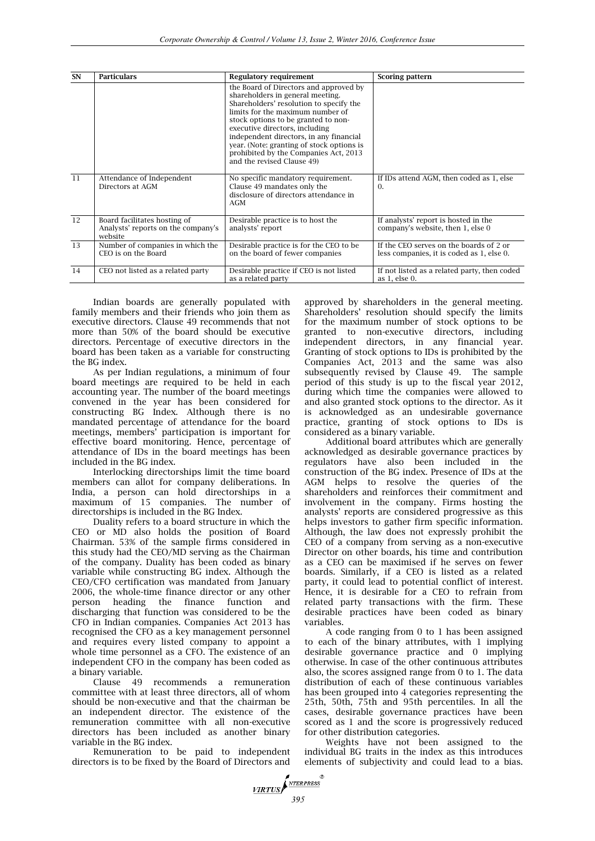| SN | <b>Particulars</b>                                                            | <b>Regulatory requirement</b>                                                                                                                                                                                                                                                                                                                                                                     | <b>Scoring pattern</b>                                                               |
|----|-------------------------------------------------------------------------------|---------------------------------------------------------------------------------------------------------------------------------------------------------------------------------------------------------------------------------------------------------------------------------------------------------------------------------------------------------------------------------------------------|--------------------------------------------------------------------------------------|
|    |                                                                               | the Board of Directors and approved by<br>shareholders in general meeting.<br>Shareholders' resolution to specify the<br>limits for the maximum number of<br>stock options to be granted to non-<br>executive directors, including<br>independent directors, in any financial<br>year. (Note: granting of stock options is<br>prohibited by the Companies Act, 2013<br>and the revised Clause 49) |                                                                                      |
| 11 | Attendance of Independent<br>Directors at AGM                                 | No specific mandatory requirement.<br>Clause 49 mandates only the<br>disclosure of directors attendance in<br>AGM                                                                                                                                                                                                                                                                                 | If IDs attend AGM, then coded as 1, else<br>$\Omega$ .                               |
| 12 | Board facilitates hosting of<br>Analysts' reports on the company's<br>website | Desirable practice is to host the<br>analysts' report                                                                                                                                                                                                                                                                                                                                             | If analysts' report is hosted in the<br>company's website, then 1, else 0            |
| 13 | Number of companies in which the<br>CEO is on the Board                       | Desirable practice is for the CEO to be.<br>on the board of fewer companies                                                                                                                                                                                                                                                                                                                       | If the CEO serves on the boards of 2 or<br>less companies, it is coded as 1, else 0. |
| 14 | CEO not listed as a related party                                             | Desirable practice if CEO is not listed<br>as a related party                                                                                                                                                                                                                                                                                                                                     | If not listed as a related party, then coded<br>as 1, else 0.                        |

Indian boards are generally populated with family members and their friends who join them as executive directors. Clause 49 recommends that not more than 50% of the board should be executive directors. Percentage of executive directors in the board has been taken as a variable for constructing the BG index.

As per Indian regulations, a minimum of four board meetings are required to be held in each accounting year. The number of the board meetings convened in the year has been considered for constructing BG Index. Although there is no mandated percentage of attendance for the board meetings, members' participation is important for effective board monitoring. Hence, percentage of attendance of IDs in the board meetings has been included in the BG index.

Interlocking directorships limit the time board members can allot for company deliberations. In India, a person can hold directorships in a maximum of 15 companies. The number of directorships is included in the BG Index.

Duality refers to a board structure in which the CEO or MD also holds the position of Board Chairman. 53% of the sample firms considered in this study had the CEO/MD serving as the Chairman of the company. Duality has been coded as binary variable while constructing BG index. Although the CEO/CFO certification was mandated from January 2006, the whole-time finance director or any other person heading the finance function and discharging that function was considered to be the CFO in Indian companies. Companies Act 2013 has recognised the CFO as a key management personnel and requires every listed company to appoint a whole time personnel as a CFO. The existence of an independent CFO in the company has been coded as a binary variable.

Clause 49 recommends a remuneration committee with at least three directors, all of whom should be non-executive and that the chairman be an independent director. The existence of the remuneration committee with all non-executive directors has been included as another binary variable in the BG index.

Remuneration to be paid to independent directors is to be fixed by the Board of Directors and

approved by shareholders in the general meeting. Shareholders' resolution should specify the limits for the maximum number of stock options to be granted to non-executive directors, including independent directors, in any financial year. Granting of stock options to IDs is prohibited by the Companies Act, 2013 and the same was also subsequently revised by Clause 49. The sample period of this study is up to the fiscal year 2012, during which time the companies were allowed to and also granted stock options to the director. As it is acknowledged as an undesirable governance practice, granting of stock options to IDs is considered as a binary variable.

Additional board attributes which are generally acknowledged as desirable governance practices by regulators have also been included in the construction of the BG index. Presence of IDs at the AGM helps to resolve the queries of the shareholders and reinforces their commitment and involvement in the company. Firms hosting the analysts' reports are considered progressive as this helps investors to gather firm specific information. Although, the law does not expressly prohibit the CEO of a company from serving as a non-executive Director on other boards, his time and contribution as a CEO can be maximised if he serves on fewer boards. Similarly, if a CEO is listed as a related party, it could lead to potential conflict of interest. Hence, it is desirable for a CEO to refrain from related party transactions with the firm. These desirable practices have been coded as binary variables.

A code ranging from 0 to 1 has been assigned to each of the binary attributes, with 1 implying desirable governance practice and 0 implying otherwise. In case of the other continuous attributes also, the scores assigned range from 0 to 1. The data distribution of each of these continuous variables has been grouped into 4 categories representing the 25th, 50th, 75th and 95th percentiles. In all the cases, desirable governance practices have been scored as 1 and the score is progressively reduced for other distribution categories.

Weights have not been assigned to the individual BG traits in the index as this introduces elements of subjectivity and could lead to a bias.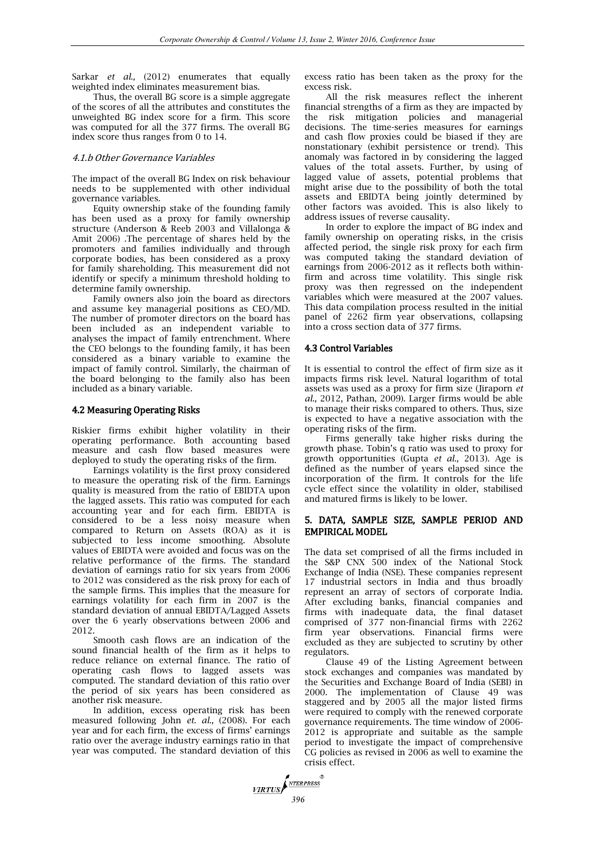Sarkar *et al.,* (2012) enumerates that equally weighted index eliminates measurement bias.

Thus, the overall BG score is a simple aggregate of the scores of all the attributes and constitutes the unweighted BG index score for a firm. This score was computed for all the 377 firms. The overall BG index score thus ranges from 0 to 14.

## 4.1.b Other Governance Variables

The impact of the overall BG Index on risk behaviour needs to be supplemented with other individual governance variables.

Equity ownership stake of the founding family has been used as a proxy for family ownership structure (Anderson & Reeb 2003 and Villalonga & Amit 2006) .The percentage of shares held by the promoters and families individually and through corporate bodies, has been considered as a proxy for family shareholding. This measurement did not identify or specify a minimum threshold holding to determine family ownership.

Family owners also join the board as directors and assume key managerial positions as CEO/MD. The number of promoter directors on the board has been included as an independent variable to analyses the impact of family entrenchment. Where the CEO belongs to the founding family, it has been considered as a binary variable to examine the impact of family control. Similarly, the chairman of the board belonging to the family also has been included as a binary variable.

## 4.2 Measuring Operating Risks

Riskier firms exhibit higher volatility in their operating performance. Both accounting based measure and cash flow based measures were deployed to study the operating risks of the firm.

Earnings volatility is the first proxy considered to measure the operating risk of the firm. Earnings quality is measured from the ratio of EBIDTA upon the lagged assets. This ratio was computed for each accounting year and for each firm. EBIDTA is considered to be a less noisy measure when compared to Return on Assets (ROA) as it is subjected to less income smoothing. Absolute values of EBIDTA were avoided and focus was on the relative performance of the firms. The standard deviation of earnings ratio for six years from 2006 to 2012 was considered as the risk proxy for each of the sample firms. This implies that the measure for earnings volatility for each firm in 2007 is the standard deviation of annual EBIDTA/Lagged Assets over the 6 yearly observations between 2006 and 2012.

Smooth cash flows are an indication of the sound financial health of the firm as it helps to reduce reliance on external finance. The ratio of operating cash flows to lagged assets was computed. The standard deviation of this ratio over the period of six years has been considered as another risk measure.

In addition, excess operating risk has been measured following John *et. al.,* (2008). For each year and for each firm, the excess of firms' earnings ratio over the average industry earnings ratio in that year was computed. The standard deviation of this

excess ratio has been taken as the proxy for the excess risk.

All the risk measures reflect the inherent financial strengths of a firm as they are impacted by the risk mitigation policies and managerial decisions. The time-series measures for earnings and cash flow proxies could be biased if they are nonstationary (exhibit persistence or trend). This anomaly was factored in by considering the lagged values of the total assets. Further, by using of lagged value of assets, potential problems that might arise due to the possibility of both the total assets and EBIDTA being jointly determined by other factors was avoided. This is also likely to address issues of reverse causality.

In order to explore the impact of BG index and family ownership on operating risks, in the crisis affected period, the single risk proxy for each firm was computed taking the standard deviation of earnings from 2006-2012 as it reflects both withinfirm and across time volatility. This single risk proxy was then regressed on the independent variables which were measured at the 2007 values. This data compilation process resulted in the initial panel of 2262 firm year observations, collapsing into a cross section data of 377 firms.

# 4.3 Control Variables

It is essential to control the effect of firm size as it impacts firms risk level. Natural logarithm of total assets was used as a proxy for firm size (Jiraporn *et al.,* 2012, Pathan, 2009). Larger firms would be able to manage their risks compared to others. Thus, size is expected to have a negative association with the operating risks of the firm.

Firms generally take higher risks during the growth phase. Tobin's q ratio was used to proxy for growth opportunities (Gupta *et al.,* 2013). Age is defined as the number of years elapsed since the incorporation of the firm. It controls for the life cycle effect since the volatility in older, stabilised and matured firms is likely to be lower.

# 5. DATA, SAMPLE SIZE, SAMPLE PERIOD AND EMPIRICAL MODEL

The data set comprised of all the firms included in the S&P CNX 500 index of the National Stock Exchange of India (NSE). These companies represent 17 industrial sectors in India and thus broadly represent an array of sectors of corporate India. After excluding banks, financial companies and firms with inadequate data, the final dataset comprised of 377 non-financial firms with 2262 firm year observations. Financial firms were excluded as they are subjected to scrutiny by other regulators.

Clause 49 of the Listing Agreement between stock exchanges and companies was mandated by the Securities and Exchange Board of India (SEBI) in 2000. The implementation of Clause 49 was staggered and by 2005 all the major listed firms were required to comply with the renewed corporate governance requirements. The time window of 2006- 2012 is appropriate and suitable as the sample period to investigate the impact of comprehensive CG policies as revised in 2006 as well to examine the crisis effect.

**VIRTUS** MERPRESS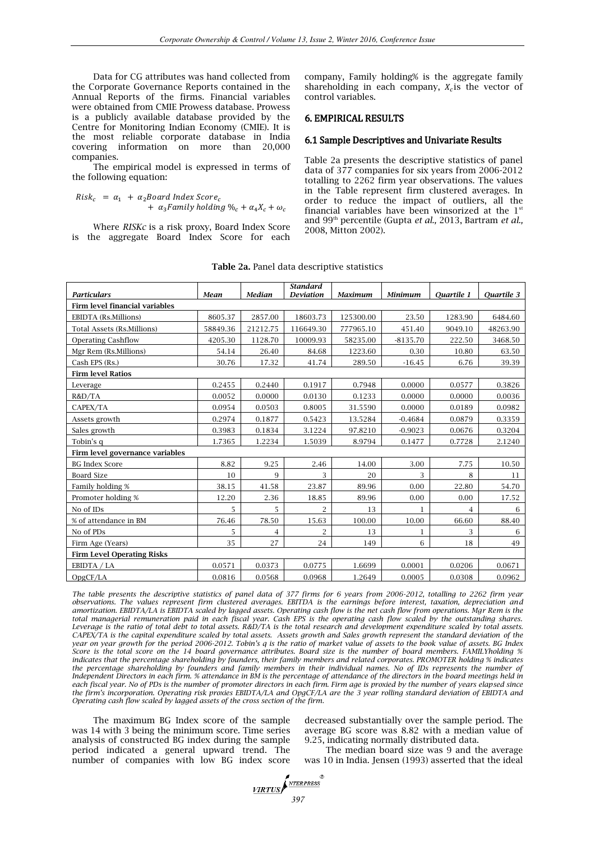Data for CG attributes was hand collected from the Corporate Governance Reports contained in the Annual Reports of the firms. Financial variables were obtained from CMIE Prowess database. Prowess is a publicly available database provided by the Centre for Monitoring Indian Economy (CMIE). It is the most reliable corporate database in India covering information on more than 20,000 companies.

The empirical model is expressed in terms of the following equation:

 $Risk_c = \alpha_1 + \alpha_2$ Board Index Score<sub>c</sub>  $+ \alpha_3$  Family holding  $\%_c + \alpha_4 X_c + \omega_c$ 

Where *RISKc* is a risk proxy, Board Index Score is the aggregate Board Index Score for each company, Family holding% is the aggregate family shareholding in each company,  $X_c$  is the vector of control variables.

#### 6. EMPIRICAL RESULTS

#### 6.1 Sample Descriptives and Univariate Results

Table 2a presents the descriptive statistics of panel data of 377 companies for six years from 2006-2012 totalling to 2262 firm year observations. The values in the Table represent firm clustered averages. In order to reduce the impact of outliers, all the financial variables have been winsorized at the  $1<sup>st</sup>$ and 99th percentile (Gupta *et al.,* 2013, Bartram *et al.,* 2008, Mitton 2002).

| <b>Particulars</b>                    | Mean     | <b>Median</b> | <b>Standard</b><br><b>Deviation</b> | <b>Maximum</b> | <b>Minimum</b> | <b>Quartile 1</b> | <b>Quartile 3</b> |  |  |  |  |
|---------------------------------------|----------|---------------|-------------------------------------|----------------|----------------|-------------------|-------------------|--|--|--|--|
| <b>Firm level financial variables</b> |          |               |                                     |                |                |                   |                   |  |  |  |  |
| <b>EBIDTA</b> (Rs.Millions)           | 8605.37  | 2857.00       | 18603.73                            | 125300.00      | 23.50          | 1283.90           | 6484.60           |  |  |  |  |
| Total Assets (Rs.Millions)            | 58849.36 | 21212.75      | 116649.30                           | 777965.10      | 451.40         | 9049.10           | 48263.90          |  |  |  |  |
| <b>Operating Cashflow</b>             | 4205.30  | 1128.70       | 10009.93                            | 58235.00       | $-8135.70$     | 222.50            | 3468.50           |  |  |  |  |
| Mgr Rem (Rs.Millions)                 | 54.14    | 26.40         | 84.68                               | 1223.60        | 0.30           | 10.80             | 63.50             |  |  |  |  |
| Cash EPS (Rs.)                        | 30.76    | 17.32         | 41.74                               | 289.50         | $-16.45$       | 6.76              | 39.39             |  |  |  |  |
| <b>Firm level Ratios</b>              |          |               |                                     |                |                |                   |                   |  |  |  |  |
| Leverage                              | 0.2455   | 0.2440        | 0.1917                              | 0.7948         | 0.0000         | 0.0577            | 0.3826            |  |  |  |  |
| R&D/TA                                | 0.0052   | 0.0000        | 0.0130                              | 0.1233         | 0.0000         | 0.0000            | 0.0036            |  |  |  |  |
| CAPEX/TA                              | 0.0954   | 0.0503        | 0.8005                              | 31.5590        | 0.0000         | 0.0189            | 0.0982            |  |  |  |  |
| Assets growth                         | 0.2974   | 0.1877        | 0.5423                              | 13.5284        | $-0.4684$      | 0.0879            | 0.3359            |  |  |  |  |
| Sales growth                          | 0.3983   | 0.1834        | 3.1224                              | 97.8210        | $-0.9023$      | 0.0676            | 0.3204            |  |  |  |  |
| Tobin's q                             | 1.7365   | 1.2234        | 1.5039                              | 8.9794         | 0.1477         | 0.7728            | 2.1240            |  |  |  |  |
| Firm level governance variables       |          |               |                                     |                |                |                   |                   |  |  |  |  |
| <b>BG</b> Index Score                 | 8.82     | 9.25          | 2.46                                | 14.00          | 3.00           | 7.75              | 10.50             |  |  |  |  |
| <b>Board Size</b>                     | 10       | 9             | 3                                   | 20             | 3              | 8                 | 11                |  |  |  |  |
| Family holding %                      | 38.15    | 41.58         | 23.87                               | 89.96          | 0.00           | 22.80             | 54.70             |  |  |  |  |
| Promoter holding %                    | 12.20    | 2.36          | 18.85                               | 89.96          | 0.00           | 0.00              | 17.52             |  |  |  |  |
| No of IDs                             | 5        | 5             | $\overline{2}$                      | 13             | 1              | $\overline{4}$    | 6                 |  |  |  |  |
| % of attendance in BM                 | 76.46    | 78.50         | 15.63                               | 100.00         | 10.00          | 66.60             | 88.40             |  |  |  |  |
| No of PDs                             | 5        | 4             | 2                                   | 13             | 1              | 3                 | 6                 |  |  |  |  |
| Firm Age (Years)                      | 35       | 27            | 24                                  | 149            | 6              | 18                | 49                |  |  |  |  |
| <b>Firm Level Operating Risks</b>     |          |               |                                     |                |                |                   |                   |  |  |  |  |
| EBIDTA / LA                           | 0.0571   | 0.0373        | 0.0775                              | 1.6699         | 0.0001         | 0.0206            | 0.0671            |  |  |  |  |
| OpgCF/LA                              | 0.0816   | 0.0568        | 0.0968                              | 1.2649         | 0.0005         | 0.0308            | 0.0962            |  |  |  |  |

|  |  |  |  |  | <b>Table 2a.</b> Panel data descriptive statistics |  |
|--|--|--|--|--|----------------------------------------------------|--|
|--|--|--|--|--|----------------------------------------------------|--|

*The table presents the descriptive statistics of panel data of 377 firms for 6 years from 2006-2012, totalling to 2262 firm year observations. The values represent firm clustered averages. EBITDA is the earnings before interest, taxation, depreciation and amortization. EBIDTA/LA is EBIDTA scaled by lagged assets. Operating cash flow is the net cash flow from operations. Mgr Rem is the total managerial remuneration paid in each fiscal year. Cash EPS is the operating cash flow scaled by the outstanding shares. Leverage is the ratio of total debt to total assets. R&D/TA is the total research and development expenditure scaled by total assets. CAPEX/TA is the capital expenditure scaled by total assets. Assets growth and Sales growth represent the standard deviation of the year on year growth for the period 2006-2012. Tobin's q is the ratio of market value of assets to the book value of assets. BG Index Score is the total score on the 14 board governance attributes. Board size is the number of board members. FAMILYholding % indicates that the percentage shareholding by founders, their family members and related corporates. PROMOTER holding % indicates the percentage shareholding by founders and family members in their individual names. No of IDs represents the number of Independent Directors in each firm. % attendance in BM is the percentage of attendance of the directors in the board meetings held in each fiscal year. No of PDs is the number of promoter directors in each firm. Firm age is proxied by the number of years elapsed since the firm's incorporation. Operating risk proxies EBIDTA/LA and OpgCF/LA are the 3 year rolling standard deviation of EBIDTA and Operating cash flow scaled by lagged assets of the cross section of the firm*.

The maximum BG Index score of the sample was 14 with 3 being the minimum score. Time series analysis of constructed BG index during the sample period indicated a general upward trend. The number of companies with low BG index score decreased substantially over the sample period. The average BG score was 8.82 with a median value of 9.25, indicating normally distributed data.

The median board size was 9 and the average was 10 in India. Jensen (1993) asserted that the ideal

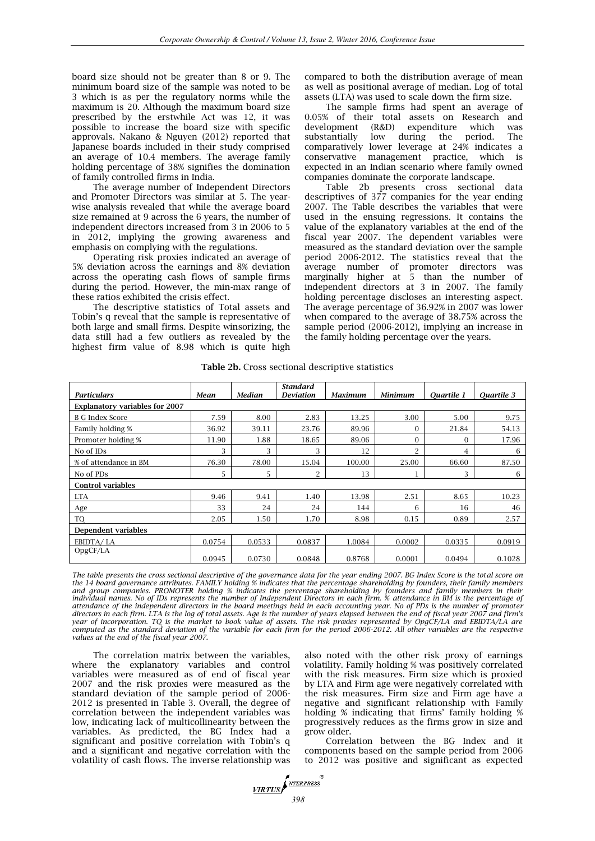board size should not be greater than 8 or 9. The minimum board size of the sample was noted to be 3 which is as per the regulatory norms while the maximum is 20. Although the maximum board size prescribed by the erstwhile Act was 12, it was possible to increase the board size with specific approvals. Nakano & Nguyen (2012) reported that Japanese boards included in their study comprised an average of 10.4 members. The average family holding percentage of 38% signifies the domination of family controlled firms in India.

The average number of Independent Directors and Promoter Directors was similar at 5. The yearwise analysis revealed that while the average board size remained at 9 across the 6 years, the number of independent directors increased from 3 in 2006 to 5 in 2012, implying the growing awareness and emphasis on complying with the regulations.

Operating risk proxies indicated an average of 5% deviation across the earnings and 8% deviation across the operating cash flows of sample firms during the period. However, the min-max range of these ratios exhibited the crisis effect.

The descriptive statistics of Total assets and Tobin's q reveal that the sample is representative of both large and small firms. Despite winsorizing, the data still had a few outliers as revealed by the highest firm value of 8.98 which is quite high

compared to both the distribution average of mean as well as positional average of median. Log of total assets (LTA) was used to scale down the firm size.

The sample firms had spent an average of 0.05% of their total assets on Research and development (R&D) expenditure which was substantially low during the period. The comparatively lower leverage at 24% indicates a conservative management practice, which is expected in an Indian scenario where family owned companies dominate the corporate landscape.

Table 2b presents cross sectional data descriptives of 377 companies for the year ending 2007. The Table describes the variables that were used in the ensuing regressions. It contains the value of the explanatory variables at the end of the fiscal year 2007. The dependent variables were measured as the standard deviation over the sample period 2006-2012. The statistics reveal that the average number of promoter directors was marginally higher at 5 than the number of independent directors at 3 in 2007. The family holding percentage discloses an interesting aspect. The average percentage of 36.92% in 2007 was lower when compared to the average of 38.75% across the sample period (2006-2012), implying an increase in the family holding percentage over the years.

| <b>Particulars</b>                    | Mean   | <b>Median</b> | <b>Standard</b><br><b>Deviation</b> | Maximum | <b>Minimum</b> | <b>Quartile 1</b> | Quartile 3 |
|---------------------------------------|--------|---------------|-------------------------------------|---------|----------------|-------------------|------------|
| <b>Explanatory variables for 2007</b> |        |               |                                     |         |                |                   |            |
| <b>B G Index Score</b>                | 7.59   | 8.00          | 2.83                                | 13.25   | 3.00           | 5.00              | 9.75       |
| Family holding %                      | 36.92  | 39.11         | 23.76                               | 89.96   | $\mathbf{0}$   | 21.84             | 54.13      |
| Promoter holding %                    | 11.90  | 1.88          | 18.65                               | 89.06   | $\theta$       | $\Omega$          | 17.96      |
| No of IDs                             | 3      | 3             | 3                                   | 12      | $\mathcal{P}$  | 4                 | 6          |
| % of attendance in BM                 | 76.30  | 78.00         | 15.04                               | 100.00  | 25.00          | 66.60             | 87.50      |
| No of PDs                             | 5      | 5             | $\overline{2}$                      | 13      |                | 3                 | 6          |
| <b>Control variables</b>              |        |               |                                     |         |                |                   |            |
| <b>LTA</b>                            | 9.46   | 9.41          | 1.40                                | 13.98   | 2.51           | 8.65              | 10.23      |
| Age                                   | 33     | 24            | 24                                  | 144     | 6              | 16                | 46         |
| TO                                    | 2.05   | 1.50          | 1.70                                | 8.98    | 0.15           | 0.89              | 2.57       |
| <b>Dependent variables</b>            |        |               |                                     |         |                |                   |            |
| EBIDTA/LA                             | 0.0754 | 0.0533        | 0.0837                              | 1.0084  | 0.0002         | 0.0335            | 0.0919     |
| OpgCF/LA                              | 0.0945 | 0.0730        | 0.0848                              | 0.8768  | 0.0001         | 0.0494            | 0.1028     |

**Table 2b.** Cross sectional descriptive statistics

*The table presents the cross sectional descriptive of the governance data for the year ending 2007. BG Index Score is the total score on the 14 board governance attributes. FAMILY holding % indicates that the percentage shareholding by founders, their family members*  and group companies. PROMOTER holding % indicates the percentage shareholding by founders and family members in their *individual names. No of IDs represents the number of Independent Directors in each firm. % attendance in BM is the percentage of* attendance of the independent directors in the board meetings held in each accounting year. No of PDs is the number of promoter<br>directors in each firm. LTA is the log of total assets. Age is the number of years elapsed bet *year of incorporation. TQ is the market to book value of assets. The risk proxies represented by OpgCF/LA and EBIDTA/LA are computed as the standard deviation of the variable for each firm for the period 2006-2012. All other variables are the respective values at the end of the fiscal year 2007.* 

The correlation matrix between the variables, where the explanatory variables and control variables were measured as of end of fiscal year 2007 and the risk proxies were measured as the standard deviation of the sample period of 2006- 2012 is presented in Table 3. Overall, the degree of correlation between the independent variables was low, indicating lack of multicollinearity between the variables. As predicted, the BG Index had a significant and positive correlation with Tobin's q and a significant and negative correlation with the volatility of cash flows. The inverse relationship was also noted with the other risk proxy of earnings volatility. Family holding % was positively correlated with the risk measures. Firm size which is proxied by LTA and Firm age were negatively correlated with the risk measures. Firm size and Firm age have a negative and significant relationship with Family holding % indicating that firms' family holding % progressively reduces as the firms grow in size and grow older.

Correlation between the BG Index and it components based on the sample period from 2006 to 2012 was positive and significant as expected

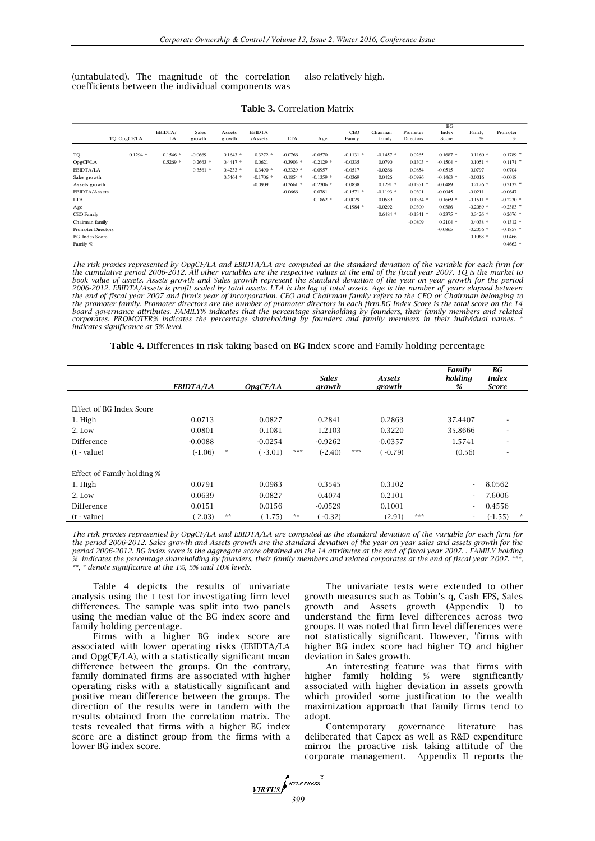(untabulated). The magnitude of the correlation coefficients between the individual components was also relatively high.

|                           |             |            |            |            |               |             |             |             |             |             | <b>BG</b>   |             |             |
|---------------------------|-------------|------------|------------|------------|---------------|-------------|-------------|-------------|-------------|-------------|-------------|-------------|-------------|
|                           |             | EBIDTA/    | Sales      | Assets     | <b>EBIDTA</b> |             |             | CEO         | Chairman    | Promoter    | Index       | Family      | Promoter    |
|                           | TQ OpgCF/LA | LA         | growth     | growth     | /Assets       | <b>LTA</b>  | Age         | Family      | family      | Directors   | Score       | %           | $\%$        |
|                           |             |            |            |            |               |             |             |             |             |             |             |             |             |
| TO                        | $0.1294$ *  | $0.1546*$  | $-0.0669$  | $0.1643$ * | $0.3272$ *    | $-0.0766$   | $-0.0570$   | $-0.1131$ * | $-0.1457$ * | 0.0265      | $0.1687*$   | $0.1160*$   | $0.1789$ *  |
| OpgCF/LA                  |             | $0.5269$ * | $0.2663$ * | $0.4417$ * | 0.0621        | $-0.3903$ * | $-0.2129$ * | $-0.0335$   | 0.0790      | $0.1303$ *  | $-0.1504$ * | $0.1051$ *  | $0.1171$ *  |
| EBIDTA/LA                 |             |            | $0.3561$ * | $0.4233$ * | $0.3490*$     | $-0.3329$ * | $-0.0957$   | $-0.0517$   | $-0.0266$   | 0.0854      | $-0.0515$   | 0.0797      | 0.0704      |
| Sales growth              |             |            |            | $0.5464*$  | $-0.1706$ *   | $-0.1854$ * | $-0.1359$ * | $-0.0369$   | 0.0426      | $-0.0986$   | $-0.1463$ * | $-0.0016$   | $-0.0018$   |
| Assets growth             |             |            |            |            | $-0.0909$     | $-0.2661$ * | $-0.2306$ * | 0.0838      | $0.1291$ *  | $-0.1351$ * | $-0.0489$   | $0.2126$ *  | $0.2132$ *  |
| EBIDTA/Assets             |             |            |            |            |               | $-0.0666$   | 0.0781      | $-0.1571$ * | $-0.1193$ * | 0.0301      | $-0.0045$   | $-0.0211$   | $-0.0647$   |
| <b>LTA</b>                |             |            |            |            |               |             | $0.1862$ *  | $-0.0029$   | 0.0589      | $0.1334*$   | $0.1669$ *  | $-0.1511$ * | $-0.2230$ * |
| Age                       |             |            |            |            |               |             |             | $-0.1984$ * | $-0.0292$   | 0.0300      | 0.0386      | $-0.2089$ * | $-0.2383$ * |
| CEO Family                |             |            |            |            |               |             |             |             | $0.6484*$   | $-0.1341$ * | $0.2375$ *  | $0.3426$ *  | $0.2676$ *  |
| Chairman family           |             |            |            |            |               |             |             |             |             | $-0.0809$   | $0.2104$ *  | $0.4038*$   | $0.1312*$   |
| <b>Promoter Directors</b> |             |            |            |            |               |             |             |             |             |             | $-0.0865$   | $-0.2056$ * | $-0.1857$ * |
| <b>BG</b> Index Score     |             |            |            |            |               |             |             |             |             |             |             | $0.1068$ *  | 0.0466      |
| Family %                  |             |            |            |            |               |             |             |             |             |             |             |             | $0.4662$ *  |

#### **Table 3.** Correlation Matrix

The risk proxies represented by OpgCF/LA and EBIDTA/LA are computed as the standard deviation of the variable for each firm for<br>the cumulative period 2006-2012. All other variables are the respective values at the end of t *book value of assets. Assets growth and Sales growth represent the standard deviation of the year on year growth for the period*  2006-2012. EBIDTA/Assets is profit scaled by total assets. LTA is the log of total assets. Age is the number of years elapsed between<br>the end of fiscal year 2007 and firm's year of incorporation. CEO and Chairman family re the promoter family. Promoter directors are the number of promoter directors in each firm.BG Index Score is the total score on the 14<br>board governance attributes. FAMILY% indicates that the percentage shareholding by found *corporates. PROMOTER% indicates the percentage shareholding by founders and family members in their individual names. \* indicates significance at 5% level.*

**Table 4.** Differences in risk taking based on BG Index score and Family holding percentage

|                            | EBIDTA/LA |         | OpqCF/LA  |     | <b>Sales</b><br>growth |     | Assets<br>growth |     | Family<br>holding<br>%   | BG<br><b>Index</b><br><b>Score</b> |         |
|----------------------------|-----------|---------|-----------|-----|------------------------|-----|------------------|-----|--------------------------|------------------------------------|---------|
|                            |           |         |           |     |                        |     |                  |     |                          |                                    |         |
| Effect of BG Index Score   |           |         |           |     |                        |     |                  |     |                          |                                    |         |
| 1. High                    | 0.0713    |         | 0.0827    |     | 0.2841                 |     | 0.2863           |     | 37.4407                  | $\overline{\phantom{a}}$           |         |
| 2. Low                     | 0.0801    |         | 0.1081    |     | 1.2103                 |     | 0.3220           |     | 35.8666                  | $\overline{\phantom{a}}$           |         |
| Difference                 | $-0.0088$ |         | $-0.0254$ |     | $-0.9262$              |     | $-0.0357$        |     | 1.5741                   | $\overline{\phantom{a}}$           |         |
| (t - value)                | $(-1.06)$ | $\star$ | (.3.01)   | *** | $(-2.40)$              | *** | $(-0.79)$        |     | (0.56)                   | ٠                                  |         |
|                            |           |         |           |     |                        |     |                  |     |                          |                                    |         |
| Effect of Family holding % |           |         |           |     |                        |     |                  |     |                          |                                    |         |
| 1. High                    | 0.0791    |         | 0.0983    |     | 0.3545                 |     | 0.3102           |     | $\tilde{\phantom{a}}$    | 8.0562                             |         |
| 2. Low                     | 0.0639    |         | 0.0827    |     | 0.4074                 |     | 0.2101           |     | $\overline{\phantom{a}}$ | 7.6006                             |         |
| Difference                 | 0.0151    |         | 0.0156    |     | $-0.0529$              |     | 0.1001           |     | $\tilde{\phantom{a}}$    | 0.4556                             |         |
| (t - value)                | (2.03)    | **      | (1.75)    | **  | $-0.32$                |     | (2.91)           | *** |                          | $(-1.55)$                          | $\star$ |

*The risk proxies represented by OpgCF/LA and EBIDTA/LA are computed as the standard deviation of the variable for each firm for the period 2006-2012. Sales growth and Assets growth are the standard deviation of the year on year sales and assets growth for the period 2006-2012. BG index score is the aggregate score obtained on the 14 attributes at the end of fiscal year 2007. . FAMILY holding % indicates the percentage shareholding by founders, their family members and related corporates at the end of fiscal year 2007. \*\*\*, \*\*, \* denote significance at the 1%, 5% and 10% levels.*

Table 4 depicts the results of univariate analysis using the t test for investigating firm level differences. The sample was split into two panels using the median value of the BG index score and family holding percentage.

Firms with a higher BG index score are associated with lower operating risks (EBIDTA/LA and OpgCF/LA), with a statistically significant mean difference between the groups. On the contrary, family dominated firms are associated with higher operating risks with a statistically significant and positive mean difference between the groups. The direction of the results were in tandem with the results obtained from the correlation matrix. The tests revealed that firms with a higher BG index score are a distinct group from the firms with a lower BG index score.

The univariate tests were extended to other growth measures such as Tobin's q, Cash EPS, Sales growth and Assets growth (Appendix I) to understand the firm level differences across two groups. It was noted that firm level differences were not statistically significant. However, 'firms with higher BG index score had higher TQ and higher deviation in Sales growth.

An interesting feature was that firms with higher family holding % were significantly associated with higher deviation in assets growth which provided some justification to the wealth maximization approach that family firms tend to adopt.

Contemporary governance literature has deliberated that Capex as well as R&D expenditure mirror the proactive risk taking attitude of the corporate management. Appendix II reports the

*MRTUS*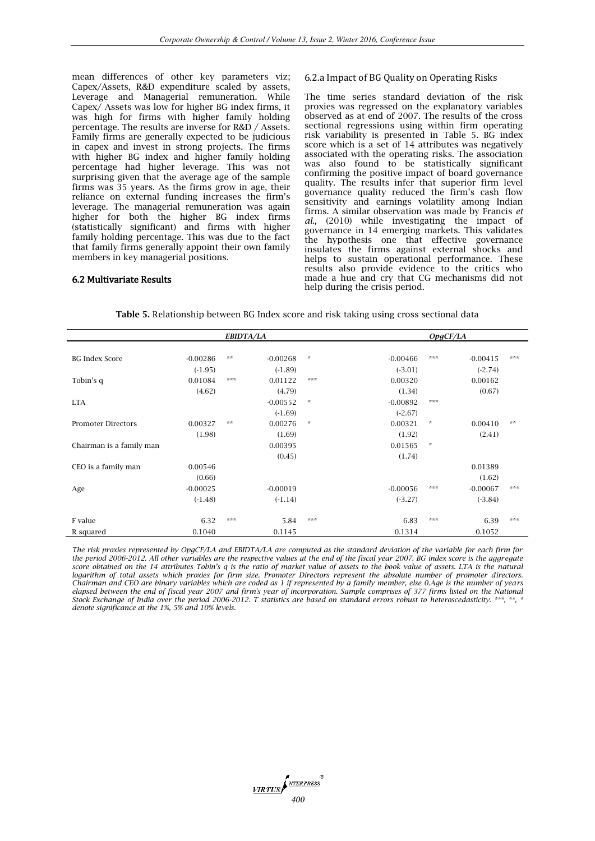mean differences of other key parameters viz; Capex/Assets, R&D expenditure scaled by assets, Leverage and Managerial remuneration. While Capex/ Assets was low for higher BG index firms, it was high for firms with higher family holding percentage. The results are inverse for R&D / Assets. Family firms are generally expected to be judicious in capex and invest in strong projects. The firms with higher BG index and higher family holding percentage had higher leverage. This was not surprising given that the average age of the sample firms was 35 years. As the firms grow in age, their reliance on external funding increases the firm's leverage. The managerial remuneration was again higher for both the higher BG index firms (statistically significant) and firms with higher family holding percentage. This was due to the fact that family firms generally appoint their own family members in key managerial positions.

# 6.2.a Impact of BG Quality on Operating Risks

The time series standard deviation of the risk proxies was regressed on the explanatory variables observed as at end of 2007. The results of the cross sectional regressions using within firm operating risk variability is presented in Table 5. BG index score which is a set of 14 attributes was negatively associated with the operating risks. The association was also found to be statistically significant confirming the positive impact of board governance quality. The results infer that superior firm level governance quality reduced the firm's cash flow sensitivity and earnings volatility among Indian firms. A similar observation was made by Francis *et al.,* (2010) while investigating the impact of governance in 14 emerging markets. This validates the hypothesis one that effective governance insulates the firms against external shocks and helps to sustain operational performance. These results also provide evidence to the critics who made a hue and cry that CG mechanisms did not help during the crisis period.

## 6.2 Multivariate Results

| Table 5. Relationship between BG Index score and risk taking using cross sectional data |  |  |  |
|-----------------------------------------------------------------------------------------|--|--|--|
|-----------------------------------------------------------------------------------------|--|--|--|

|                           |            | EBIDTA/LA |            |                                   |            |               | OpqCF/LA   |          |
|---------------------------|------------|-----------|------------|-----------------------------------|------------|---------------|------------|----------|
|                           |            |           |            |                                   |            |               |            |          |
| <b>BG Index Score</b>     | $-0.00286$ | $**$      | $-0.00268$ | $\frac{d\mathbf{r}}{d\mathbf{x}}$ | $-0.00466$ | ***           | $-0.00415$ | ***      |
|                           | $(-1.95)$  |           | $(-1.89)$  |                                   | $(-3.01)$  |               | $(-2.74)$  |          |
| Tobin's q                 | 0.01084    | ***       | 0.01122    | $* * *$                           | 0.00320    |               | 0.00162    |          |
|                           | (4.62)     |           | (4.79)     |                                   | (1.34)     |               | (0.67)     |          |
| <b>LTA</b>                |            |           | $-0.00552$ | $\frac{d\mathbf{r}}{d\mathbf{x}}$ | $-0.00892$ | ***           |            |          |
|                           |            |           | $(-1.69)$  |                                   | $(-2.67)$  |               |            |          |
| <b>Promoter Directors</b> | 0.00327    | $**$      | 0.00276    | $\frac{d\mathbf{r}}{d\mathbf{x}}$ | 0.00321    | $\star$       | 0.00410    | $\pm\pm$ |
|                           | (1.98)     |           | (1.69)     |                                   | (1.92)     |               | (2.41)     |          |
| Chairman is a family man  |            |           | 0.00395    |                                   | 0.01565    | $\mathcal{R}$ |            |          |
|                           |            |           | (0.45)     |                                   | (1.74)     |               |            |          |
| CEO is a family man       | 0.00546    |           |            |                                   |            |               | 0.01389    |          |
|                           | (0.66)     |           |            |                                   |            |               | (1.62)     |          |
| Age                       | $-0.00025$ |           | $-0.00019$ |                                   | $-0.00056$ | ***           | $-0.00067$ | ***      |
|                           | $(-1.48)$  |           | $(-1.14)$  |                                   | $(-3.27)$  |               | $(-3.84)$  |          |
|                           |            |           |            |                                   |            |               |            |          |
| F value                   | 6.32       | ***       | 5.84       | $* * *$                           | 6.83       | ***           | 6.39       | ***      |
| R squared                 | 0.1040     |           | 0.1145     |                                   | 0.1314     |               | 0.1052     |          |

*The risk proxies represented by OpgCF/LA and EBIDTA/LA are computed as the standard deviation of the variable for each firm for the period 2006-2012. All other variables are the respective values at the end of the fiscal year 2007. BG index score is the aggregate score obtained on the 14 attributes Tobin's q is the ratio of market value of assets to the book value of assets. LTA is the natural logarithm of total assets which proxies for firm size. Promoter Directors represent the absolute number of promoter directors. Chairman and CEO are binary variables which are coded as 1 if represented by a family member, else 0.Age is the number of years elapsed between the end of fiscal year 2007 and firm's year of incorporation. Sample comprises of 377 firms listed on the National Stock Exchange of India over the period 2006-2012. T statistics are based on standard errors robust to heteroscedasticity. \*\*\*, \*\*, \* denote significance at the 1%, 5% and 10% levels.*

NTERPRESS **VIRTUS** *400*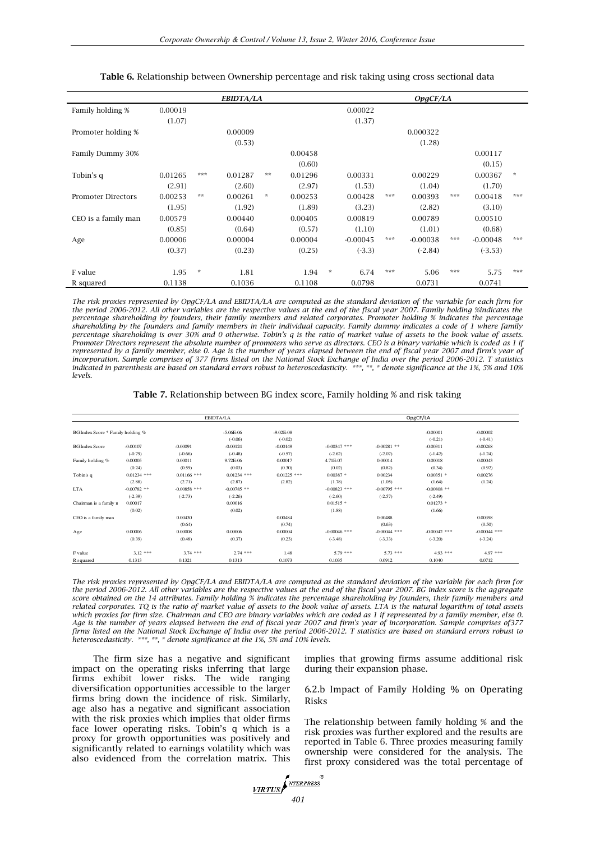|                           |         |               | <b>EBIDTA/LA</b> |                |         |         |            |     | OpgCF/LA   |     |            |                                   |
|---------------------------|---------|---------------|------------------|----------------|---------|---------|------------|-----|------------|-----|------------|-----------------------------------|
| Family holding %          | 0.00019 |               |                  |                |         |         | 0.00022    |     |            |     |            |                                   |
|                           | (1.07)  |               |                  |                |         |         | (1.37)     |     |            |     |            |                                   |
| Promoter holding %        |         |               | 0.00009          |                |         |         |            |     | 0.000322   |     |            |                                   |
|                           |         |               | (0.53)           |                |         |         |            |     | (1.28)     |     |            |                                   |
| Family Dummy 30%          |         |               |                  |                | 0.00458 |         |            |     |            |     | 0.00117    |                                   |
|                           |         |               |                  |                | (0.60)  |         |            |     |            |     | (0.15)     |                                   |
| Tobin's q                 | 0.01265 | ***           | 0.01287          | $**$           | 0.01296 |         | 0.00331    |     | 0.00229    |     | 0.00367    | $\frac{d\mathbf{r}}{d\mathbf{x}}$ |
|                           | (2.91)  |               | (2.60)           |                | (2.97)  |         | (1.53)     |     | (1.04)     |     | (1.70)     |                                   |
| <b>Promoter Directors</b> | 0.00253 | $**$          | 0.00261          | $\frac{1}{24}$ | 0.00253 |         | 0.00428    | *** | 0.00393    | *** | 0.00418    | ***                               |
|                           | (1.95)  |               | (1.92)           |                | (1.89)  |         | (3.23)     |     | (2.82)     |     | (3.10)     |                                   |
| CEO is a family man       | 0.00579 |               | 0.00440          |                | 0.00405 |         | 0.00819    |     | 0.00789    |     | 0.00510    |                                   |
|                           | (0.85)  |               | (0.64)           |                | (0.57)  |         | (1.10)     |     | (1.01)     |     | (0.68)     |                                   |
| Age                       | 0.00006 |               | 0.00004          |                | 0.00004 |         | $-0.00045$ | *** | $-0.00038$ | *** | $-0.00048$ | ***                               |
|                           | (0.37)  |               | (0.23)           |                | (0.25)  |         | $(-3.3)$   |     | $(-2.84)$  |     | $(-3.53)$  |                                   |
|                           |         |               |                  |                |         |         |            |     |            |     |            |                                   |
| F value                   | 1.95    | $\mathcal{H}$ | 1.81             |                | 1.94    | $\star$ | 6.74       | *** | 5.06       | *** | 5.75       | ***                               |
| R squared                 | 0.1138  |               | 0.1036           |                | 0.1108  |         | 0.0798     |     | 0.0731     |     | 0.0741     |                                   |

**Table 6.** Relationship between Ownership percentage and risk taking using cross sectional data

*The risk proxies represented by OpgCF/LA and EBIDTA/LA are computed as the standard deviation of the variable for each firm for the period 2006-2012. All other variables are the respective values at the end of the fiscal year 2007. Family holding %indicates the percentage shareholding by founders, their family members and related corporates. Promoter holding % indicates the percentage shareholding by the founders and family members in their individual capacity. Family dummy indicates a code of 1 where family percentage shareholding is over 30% and 0 otherwise. Tobin's q is the ratio of market value of assets to the book value of assets. Promoter Directors represent the absolute number of promoters who serve as directors. CEO is a binary variable which is coded as 1 if represented by a family member, else 0. Age is the number of years elapsed between the end of fiscal year 2007 and firm's year of incorporation. Sample comprises of 377 firms listed on the National Stock Exchange of India over the period 2006-2012. T statistics indicated in parenthesis are based on standard errors robust to heteroscedasticity. \*\*\*, \*\*, \* denote significance at the 1%, 5% and 10% levels.*

| <b>Table 7.</b> Relationship between BG index score, Family holding % and risk taking |  |  |  |  |
|---------------------------------------------------------------------------------------|--|--|--|--|
|---------------------------------------------------------------------------------------|--|--|--|--|

|                                   |               |                | EBIDTA/LA     |               |                |                | OpgCF/LA       |                |
|-----------------------------------|---------------|----------------|---------------|---------------|----------------|----------------|----------------|----------------|
| BG Index Score * Family holding % |               |                | $-5.06E-06$   | $-9.02E - 08$ |                |                | $-0.00001$     | $-0.00002$     |
|                                   |               |                | $(-0.06)$     | $(-0.02)$     |                |                | $(-0.21)$      | $(-0.41)$      |
| <b>BG</b> Index Score             | $-0.00107$    | $-0.00091$     | $-0.00124$    | $-0.00149$    | $-0.00347$ *** | $-0.00281$ **  | $-0.00311$     | $-0.00268$     |
|                                   | $(-0.79)$     | $(-0.66)$      | $(-0.48)$     | $(-0.57)$     | $(-2.62)$      | $(-2.07)$      | $(-1.42)$      | $(-1.24)$      |
| Family holding %                  | 0.00005       | 0.00011        | 9.72E-06      | 0.00017       | 4.71E-07       | 0.00014        | 0.00018        | 0.00043        |
|                                   | (0.24)        | (0.59)         | (0.03)        | (0.30)        | (0.02)         | (0.82)         | (0.34)         | (0.92)         |
| Tobin's q                         | $0.01234$ *** | $0.01166$ ***  | $0.01234$ *** | $0.01225$ *** | $0.00387$ *    | 0.00234        | $0.00351$ *    | 0.00276        |
|                                   | (2.88)        | (2.71)         | (2.87)        | (2.82)        | (1.78)         | (1.05)         | (1.64)         | (1.24)         |
| <b>LTA</b>                        | $-0.00782$ ** | $-0.00858$ *** | $-0.00785$ ** |               | $-0.00823$ *** | $-0.00795$ *** | $-0.00808$ **  |                |
|                                   | $(-2.39)$     | $(-2.73)$      | $(-2.26)$     |               | $(-2.60)$      | $(-2.57)$      | $(-2.49)$      |                |
| Chairman is a family n            | 0.00017       |                | 0.00016       |               | $0.01515$ *    |                | $0.01273$ *    |                |
|                                   | (0.02)        |                | (0.02)        |               | (1.88)         |                | (1.66)         |                |
| CEO is a family man               |               | 0.00430        |               | 0.00484       |                | 0.00488        |                | 0.00398        |
|                                   |               | (0.64)         |               | (0.74)        |                | (0.63)         |                | (0.50)         |
| Age                               | 0.00006       | 0.00008        | 0.00006       | 0.00004       | $-0.00046$ *** | $-0.00044$ *** | $-0.00042$ *** | $-0.00044$ *** |
|                                   | (0.39)        | (0.48)         | (0.37)        | (0.23)        | $(-3.48)$      | $(-3.33)$      | $(-3.20)$      | $(-3.24)$      |
| F value                           | $3,12***$     | $3.74$ ***     | $2.74$ ***    | 1.48          | $5.79$ ***     | $5.73$ ***     | $4.93***$      | $4.97***$      |
| R <sub>squared</sub>              | 0.1313        | 0.1321         | 0.1313        | 0.1073        | 0.1035         | 0.0912         | 0.1040         | 0.0712         |

*The risk proxies represented by OpgCF/LA and EBIDTA/LA are computed as the standard deviation of the variable for each firm for the period 2006-2012. All other variables are the respective values at the end of the fiscal year 2007. BG index score is the aggregate score obtained on the 14 attributes. Family holding % indicates the percentage shareholding by founders, their family members and related corporates. TQ is the ratio of market value of assets to the book value of assets. LTA is the natural logarithm of total assets which proxies for firm size. Chairman and CEO are binary variables which are coded as 1 if represented by a family member, else 0. Age is the number of years elapsed between the end of fiscal year 2007 and firm's year of incorporation. Sample comprises of377 firms listed on the National Stock Exchange of India over the period 2006-2012. T statistics are based on standard errors robust to heteroscedasticity. \*\*\*, \*\*, \* denote significance at the 1%, 5% and 10% levels.*

The firm size has a negative and significant impact on the operating risks inferring that large firms exhibit lower risks. The wide ranging diversification opportunities accessible to the larger firms bring down the incidence of risk. Similarly, age also has a negative and significant association with the risk proxies which implies that older firms face lower operating risks. Tobin's q which is a proxy for growth opportunities was positively and significantly related to earnings volatility which was also evidenced from the correlation matrix. This

implies that growing firms assume additional risk during their expansion phase.

6.2.b Impact of Family Holding % on Operating Risks

The relationship between family holding % and the risk proxies was further explored and the results are reported in Table 6. Three proxies measuring family ownership were considered for the analysis. The first proxy considered was the total percentage of

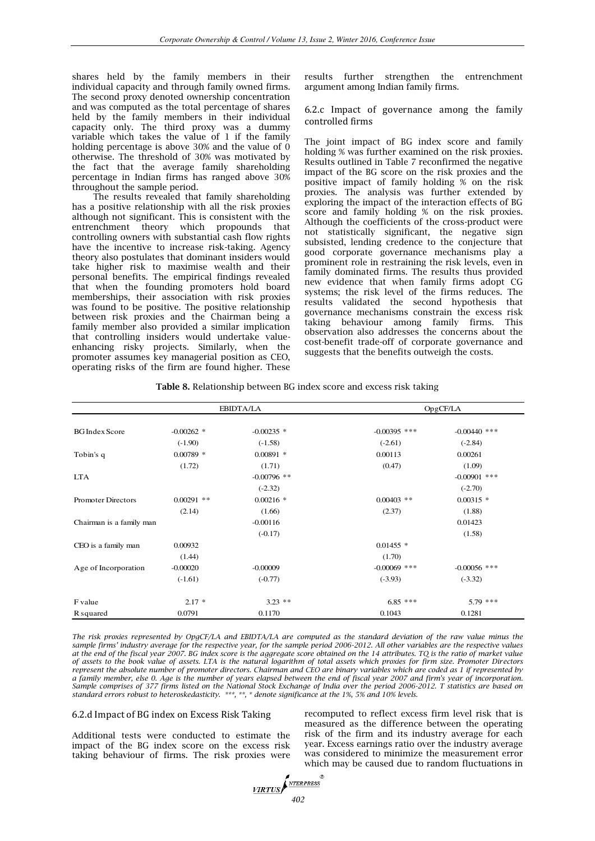shares held by the family members in their individual capacity and through family owned firms. The second proxy denoted ownership concentration and was computed as the total percentage of shares held by the family members in their individual capacity only. The third proxy was a dummy variable which takes the value of 1 if the family holding percentage is above 30% and the value of 0 otherwise. The threshold of 30% was motivated by the fact that the average family shareholding percentage in Indian firms has ranged above 30% throughout the sample period.

The results revealed that family shareholding has a positive relationship with all the risk proxies although not significant. This is consistent with the entrenchment theory which propounds that controlling owners with substantial cash flow rights have the incentive to increase risk-taking. Agency theory also postulates that dominant insiders would take higher risk to maximise wealth and their personal benefits. The empirical findings revealed that when the founding promoters hold board memberships, their association with risk proxies was found to be positive. The positive relationship between risk proxies and the Chairman being a family member also provided a similar implication that controlling insiders would undertake valueenhancing risky projects. Similarly, when the promoter assumes key managerial position as CEO, operating risks of the firm are found higher. These

results further strengthen the entrenchment argument among Indian family firms.

6.2.c Impact of governance among the family controlled firms

The joint impact of BG index score and family holding % was further examined on the risk proxies. Results outlined in Table 7 reconfirmed the negative impact of the BG score on the risk proxies and the positive impact of family holding % on the risk proxies. The analysis was further extended by exploring the impact of the interaction effects of BG score and family holding % on the risk proxies. Although the coefficients of the cross-product were not statistically significant, the negative sign subsisted, lending credence to the conjecture that good corporate governance mechanisms play a prominent role in restraining the risk levels, even in family dominated firms. The results thus provided new evidence that when family firms adopt CG systems; the risk level of the firms reduces. The results validated the second hypothesis that governance mechanisms constrain the excess risk taking behaviour among family firms. This observation also addresses the concerns about the cost-benefit trade-off of corporate governance and suggests that the benefits outweigh the costs.

|  | Table 8. Relationship between BG index score and excess risk taking |  |  |  |  |  |
|--|---------------------------------------------------------------------|--|--|--|--|--|
|--|---------------------------------------------------------------------|--|--|--|--|--|

|                           |              | EBIDTA/LA     |                | OpgCF/LA       |
|---------------------------|--------------|---------------|----------------|----------------|
| <b>BG</b> Index Score     | $-0.00262$ * | $-0.00235$ *  | $-0.00395$ *** | $-0.00440$ *** |
|                           | $(-1.90)$    | $(-1.58)$     | $(-2.61)$      | $(-2.84)$      |
| Tobin's q                 | $0.00789$ *  | $0.00891$ *   | 0.00113        | 0.00261        |
|                           | (1.72)       | (1.71)        | (0.47)         | (1.09)         |
| <b>LTA</b>                |              | $-0.00796$ ** |                | $-0.00901$ *** |
|                           |              | $(-2.32)$     |                | $(-2.70)$      |
| <b>Promoter Directors</b> | $0.00291$ ** | $0.00216$ *   | $0.00403$ **   | $0.00315$ *    |
|                           | (2.14)       | (1.66)        | (2.37)         | (1.88)         |
| Chairman is a family man  |              | $-0.00116$    |                | 0.01423        |
|                           |              | $(-0.17)$     |                | (1.58)         |
| CEO is a family man       | 0.00932      |               | $0.01455$ *    |                |
|                           | (1.44)       |               | (1.70)         |                |
| Age of Incorporation      | $-0.00020$   | $-0.00009$    | $-0.00069$ *** | $-0.00056$ *** |
|                           | $(-1.61)$    | $(-0.77)$     | $(-3.93)$      | $(-3.32)$      |
| F value                   | $2.17*$      | $3.23$ **     | $6.85***$      | $5.79$ ***     |
| R squared                 | 0.0791       | 0.1170        | 0.1043         | 0.1281         |

*The risk proxies represented by OpgCF/LA and EBIDTA/LA are computed as the standard deviation of the raw value minus the*  sample firms' industry average for the respective year, for the sample period 2006<sup>*-2012*. All other variables are the respective values</sup> *at the end of the fiscal year 2007. BG index score is the aggregate score obtained on the 14 attributes. TQ is the ratio of market value of assets to the book value of assets. LTA is the natural logarithm of total assets which proxies for firm size. Promoter Directors represent the absolute number of promoter directors. Chairman and CEO are binary variables which are coded as 1 if represented by a family member, else 0. Age is the number of years elapsed between the end of fiscal year 2007 and firm's year of incorporation. Sample comprises of 377 firms listed on the National Stock Exchange of India over the period 2006-2012. T statistics are based on standard errors robust to heteroskedasticity. \*\*\*, \*\*, \* denote significance at the 1%, 5% and 10% levels.*

## 6.2.d Impact of BG index on Excess Risk Taking

Additional tests were conducted to estimate the impact of the BG index score on the excess risk taking behaviour of firms. The risk proxies were

recomputed to reflect excess firm level risk that is measured as the difference between the operating risk of the firm and its industry average for each year. Excess earnings ratio over the industry average was considered to minimize the measurement error which may be caused due to random fluctuations in

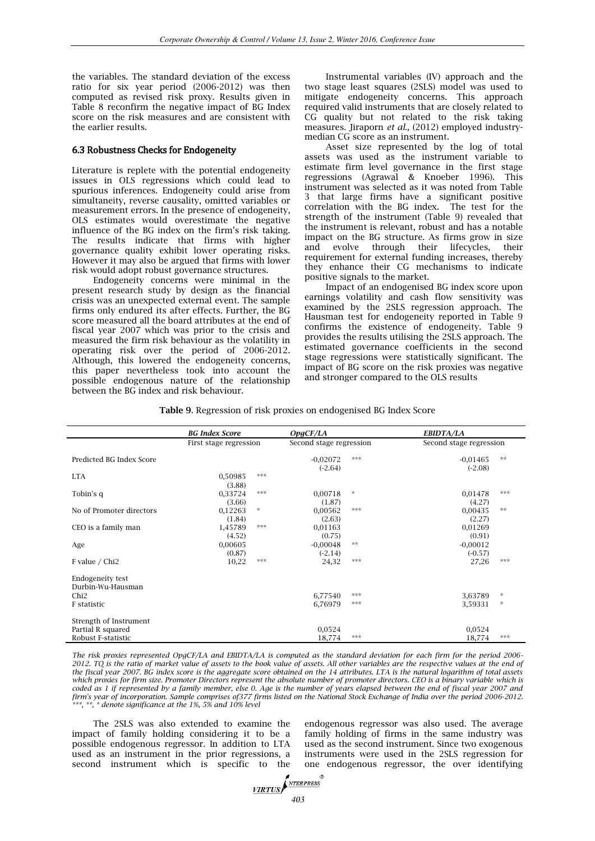the variables. The standard deviation of the excess ratio for six year period (2006-2012) was then computed as revised risk proxy. Results given in Table 8 reconfirm the negative impact of BG Index score on the risk measures and are consistent with the earlier results.

## 6.3 Robustness Checks for Endogeneity

Literature is replete with the potential endogeneity issues in OLS regressions which could lead to spurious inferences. Endogeneity could arise from simultaneity, reverse causality, omitted variables or measurement errors. In the presence of endogeneity, OLS estimates would overestimate the negative influence of the BG index on the firm's risk taking. The results indicate that firms with higher governance quality exhibit lower operating risks. However it may also be argued that firms with lower risk would adopt robust governance structures.

Endogeneity concerns were minimal in the present research study by design as the financial crisis was an unexpected external event. The sample firms only endured its after effects. Further, the BG score measured all the board attributes at the end of fiscal year 2007 which was prior to the crisis and measured the firm risk behaviour as the volatility in operating risk over the period of 2006-2012. Although, this lowered the endogeneity concerns, this paper nevertheless took into account the possible endogenous nature of the relationship between the BG index and risk behaviour.

Instrumental variables (IV) approach and the two stage least squares (2SLS) model was used to mitigate endogeneity concerns. This approach required valid instruments that are closely related to CG quality but not related to the risk taking measures. Jiraporn *et al.,* (2012) employed industrymedian CG score as an instrument.

Asset size represented by the log of total assets was used as the instrument variable to estimate firm level governance in the first stage regressions (Agrawal & Knoeber 1996). This instrument was selected as it was noted from Table 3 that large firms have a significant positive correlation with the BG index. The test for the strength of the instrument (Table 9) revealed that the instrument is relevant, robust and has a notable impact on the BG structure. As firms grow in size and evolve through their lifecycles, their requirement for external funding increases, thereby they enhance their CG mechanisms to indicate positive signals to the market.

Impact of an endogenised BG index score upon earnings volatility and cash flow sensitivity was examined by the 2SLS regression approach. The Hausman test for endogeneity reported in Table 9 confirms the existence of endogeneity. Table 9 provides the results utilising the 2SLS approach. The estimated governance coefficients in the second stage regressions were statistically significant. The impact of BG score on the risk proxies was negative and stronger compared to the OLS results

|  |  |  |  | Table 9. Regression of risk proxies on endogenised BG Index Score |  |
|--|--|--|--|-------------------------------------------------------------------|--|
|--|--|--|--|-------------------------------------------------------------------|--|

|                                       | <b>BG Index Score</b>  |                                   | OpqCF/LA                |                | EBIDTA/LA               |                                   |
|---------------------------------------|------------------------|-----------------------------------|-------------------------|----------------|-------------------------|-----------------------------------|
|                                       | First stage regression |                                   | Second stage regression |                | Second stage regression |                                   |
| Predicted BG Index Score              |                        |                                   | $-0,02072$<br>$(-2.64)$ | ***            | $-0.01465$<br>$(-2.08)$ | $**$                              |
| <b>LTA</b>                            | 0.50985<br>(3.88)      | ***                               |                         |                |                         |                                   |
| Tobin's q                             | 0,33724<br>(3.66)      | ***                               | 0.00718<br>(1.87)       | $\frac{1}{24}$ | 0,01478<br>(4.27)       | ***                               |
| No of Promoter directors              | 0,12263<br>(1.84)      | $\frac{d\mathbf{r}}{d\mathbf{x}}$ | 0,00562<br>(2.63)       | ***            | 0,00435<br>(2.27)       | **                                |
| CEO is a family man                   | 1,45789<br>(4.52)      | ***                               | 0,01163<br>(0.75)       |                | 0,01269<br>(0.91)       |                                   |
| Age                                   | 0,00605<br>(0.87)      |                                   | $-0,00048$<br>$(-2.14)$ | $\pm\pm$       | $-0.00012$<br>$(-0.57)$ |                                   |
| F value / Chi2                        | 10,22                  | ***                               | 24,32                   | ***            | 27,26                   | ***                               |
| Endogeneity test<br>Durbin-Wu-Hausman |                        |                                   |                         |                |                         |                                   |
| Chi <sub>2</sub>                      |                        |                                   | 6,77540                 | ***            | 3,63789                 | $\frac{d\mathbf{r}}{d\mathbf{x}}$ |
| F statistic                           |                        |                                   | 6,76979                 | ***            | 3,59331                 | $\star$                           |
| Strength of Instrument                |                        |                                   |                         |                |                         |                                   |
| Partial R squared                     |                        |                                   | 0,0524                  |                | 0,0524                  |                                   |
| Robust F-statistic                    |                        |                                   | 18,774                  | ***            | 18,774                  | ***                               |

*The risk proxies represented OpgCF/LA and EBIDTA/LA is computed as the standard deviation for each firm for the period 2006- 2012. TQ is the ratio of market value of assets to the book value of assets. All other variables are the respective values at the end of the fiscal year 2007. BG index score is the aggregate score obtained on the 14 attributes. LTA is the natural logarithm of total assets which proxies for firm size. Promoter Directors represent the absolute number of promoter directors. CEO is a binary variable which is coded as 1 if represented by a family member, else 0. Age is the number of years elapsed between the end of fiscal year 2007 and firm's year of incorporation. Sample comprises of377 firms listed on the National Stock Exchange of India over the period 2006-2012. \*\*\*, \*\*, \* denote significance at the 1%, 5% and 10% level*

The 2SLS was also extended to examine the impact of family holding considering it to be a possible endogenous regressor. In addition to LTA used as an instrument in the prior regressions, a second instrument which is specific to the

endogenous regressor was also used. The average family holding of firms in the same industry was used as the second instrument. Since two exogenous instruments were used in the 2SLS regression for one endogenous regressor, the over identifying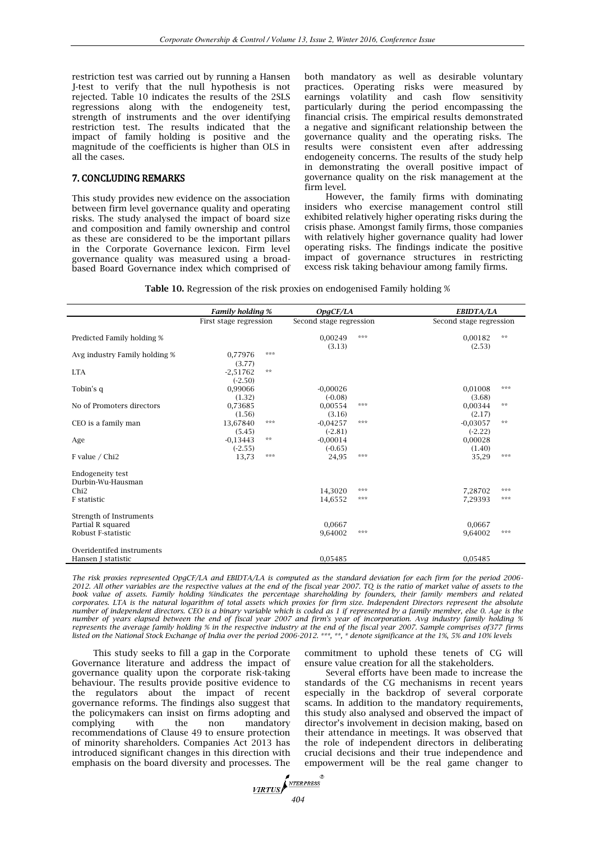restriction test was carried out by running a Hansen J-test to verify that the null hypothesis is not rejected. Table 10 indicates the results of the 2SLS regressions along with the endogeneity test, strength of instruments and the over identifying restriction test. The results indicated that the impact of family holding is positive and the magnitude of the coefficients is higher than OLS in all the cases.

# 7. CONCLUDING REMARKS

This study provides new evidence on the association between firm level governance quality and operating risks. The study analysed the impact of board size and composition and family ownership and control as these are considered to be the important pillars in the Corporate Governance lexicon. Firm level governance quality was measured using a broadbased Board Governance index which comprised of

both mandatory as well as desirable voluntary practices. Operating risks were measured by earnings volatility and cash flow sensitivity particularly during the period encompassing the financial crisis. The empirical results demonstrated a negative and significant relationship between the governance quality and the operating risks. The results were consistent even after addressing endogeneity concerns. The results of the study help in demonstrating the overall positive impact of governance quality on the risk management at the firm level.

However, the family firms with dominating insiders who exercise management control still exhibited relatively higher operating risks during the crisis phase. Amongst family firms, those companies with relatively higher governance quality had lower operating risks. The findings indicate the positive impact of governance structures in restricting excess risk taking behaviour among family firms.

**Table 10.** Regression of the risk proxies on endogenised Family holding %

|                                                 | <b>Family holding %</b> |      | OpgCF/LA                |     | EBIDTA/LA               |      |
|-------------------------------------------------|-------------------------|------|-------------------------|-----|-------------------------|------|
|                                                 | First stage regression  |      | Second stage regression |     | Second stage regression |      |
| Predicted Family holding %                      |                         |      | 0,00249<br>(3.13)       | *** | 0.00182<br>(2.53)       | $**$ |
| Avg industry Family holding %                   | 0,77976<br>(3.77)       | ***  |                         |     |                         |      |
| <b>LTA</b>                                      | $-2,51762$<br>$(-2.50)$ | $**$ |                         |     |                         |      |
| Tobin's q                                       | 0,99066<br>(1.32)       |      | $-0,00026$<br>$(-0.08)$ |     | 0.01008<br>(3.68)       | ***  |
| No of Promoters directors                       | 0,73685<br>(1.56)       |      | 0,00554<br>(3.16)       | *** | 0,00344<br>(2.17)       | $**$ |
| CEO is a family man                             | 13,67840<br>(5.45)      | ***  | $-0.04257$<br>$(-2.81)$ | *** | $-0.03057$<br>$(-2.22)$ | $**$ |
| Age                                             | $-0.13443$<br>$(-2.55)$ | $**$ | $-0,00014$<br>$(-0.65)$ |     | 0,00028<br>(1.40)       |      |
| F value / Chi2                                  | 13,73                   | ***  | 24,95                   | *** | 35,29                   | ***  |
| <b>Endogeneity test</b><br>Durbin-Wu-Hausman    |                         |      |                         |     |                         |      |
| Chi2                                            |                         |      | 14.3020                 | *** | 7.28702                 | ***  |
| F statistic                                     |                         |      | 14,6552                 | *** | 7,29393                 | ***  |
| Strength of Instruments                         |                         |      |                         |     |                         |      |
| Partial R squared<br>Robust F-statistic         |                         |      | 0.0667<br>9.64002       | *** | 0.0667<br>9.64002       | ***  |
| Overidentifed instruments<br>Hansen J statistic |                         |      | 0,05485                 |     | 0,05485                 |      |

*The risk proxies represented OpgCF/LA and EBIDTA/LA is computed as the standard deviation for each firm for the period 2006- 2012. All other variables are the respective values at the end of the fiscal year 2007. TQ is the ratio of market value of assets to the book value of assets. Family holding %indicates the percentage shareholding by founders, their family members and related corporates. LTA is the natural logarithm of total assets which proxies for firm size. Independent Directors represent the absolute number of independent directors. CEO is a binary variable which is coded as 1 if represented by a family member, else 0. Age is the number of years elapsed between the end of fiscal year 2007 and firm's year of incorporation. Avg industry family holding % represents the average family holding % in the respective industry at the end of the fiscal year 2007. Sample comprises of377 firms listed on the National Stock Exchange of India over the period 2006-2012. \*\*\*, \*\*, \* denote significance at the 1%, 5% and 10% levels*

This study seeks to fill a gap in the Corporate Governance literature and address the impact of governance quality upon the corporate risk-taking behaviour. The results provide positive evidence to the regulators about the impact of recent governance reforms. The findings also suggest that the policymakers can insist on firms adopting and complying with the non mandatory recommendations of Clause 49 to ensure protection of minority shareholders. Companies Act 2013 has introduced significant changes in this direction with emphasis on the board diversity and processes. The commitment to uphold these tenets of CG will ensure value creation for all the stakeholders.

Several efforts have been made to increase the standards of the CG mechanisms in recent years especially in the backdrop of several corporate scams. In addition to the mandatory requirements, this study also analysed and observed the impact of director's involvement in decision making, based on their attendance in meetings. It was observed that the role of independent directors in deliberating crucial decisions and their true independence and empowerment will be the real game changer to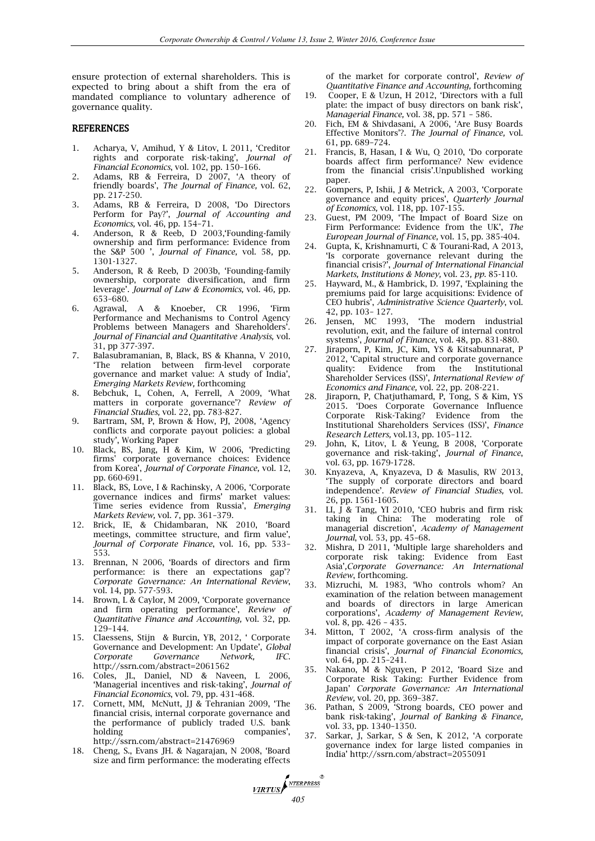ensure protection of external shareholders. This is expected to bring about a shift from the era of mandated compliance to voluntary adherence of governance quality.

## **REFERENCES**

- 1. Acharya, V, Amihud, Y & Litov, L 2011, 'Creditor rights and corporate risk-taking', *Journal of Financial Economics*, vol. 102, pp. 150–166.
- 2. Adams, RB & Ferreira, D 2007, 'A theory of friendly boards', *The Journal of Finance,* vol. 62, pp. 217-250.
- 3. Adams, RB & Ferreira, D 2008, 'Do Directors Perform for Pay?', *Journal of Accounting and Economics,* vol. 46, pp. 154–71.
- 4. Anderson, R & Reeb, D 2003,'Founding-family ownership and firm performance: Evidence from the S&P 500 ', *Journal of Finance,* vol. 58*,* pp. 1301-1327.
- 5. Anderson, R & Reeb, D 2003b, 'Founding-family ownership, corporate diversification, and firm leverage'. *Journal of Law & Economics,* vol. 46*,* pp. 653–680.
- 6. Agrawal, A & Knoeber, CR 1996, 'Firm Performance and Mechanisms to Control Agency Problems between Managers and Shareholders'. *Journal of Financial and Quantitative Analysis,* vol. 31, pp 377-397.
- 7. Balasubramanian, B, Black, BS & Khanna, V 2010, 'The relation between firm-level corporate governance and market value: A study of India', *Emerging Markets Review,* forthcoming
- 8. Bebchuk, L, Cohen, A, Ferrell, A 2009, 'What matters in corporate governance'? *Review of Financial Studies,* vol. 22, pp. 783-827.
- 9. Bartram, SM, P, Brown & How, PJ, 2008, 'Agency conflicts and corporate payout policies: a global study', Working Paper
- 10. Black, BS, Jang, H & Kim, W 2006, 'Predicting firms' corporate governance choices: Evidence from Korea', *Journal of Corporate Finance,* vol*.* 12, pp. 660-691.
- 11. Black, BS, Love, I & Rachinsky, A 2006, 'Corporate governance indices and firms' market values: Time series evidence from Russia', *Emerging Markets Review,* vol. 7, pp. 361–379.
- 12. Brick, IE, & Chidambaran, NK 2010, 'Board meetings, committee structure, and firm value', *Journal of Corporate Finance*, vol. 16, pp. 533– 553.
- 13. Brennan, N 2006, 'Boards of directors and firm performance: is there an expectations gap'? *Corporate Governance: An International Review*, vol. 14, pp. 577-593.
- Brown, L & Caylor, M 2009, 'Corporate governance and firm operating performance', *Review of Quantitative Finance and Accounting,* vol. 32, pp. 129–144.
- 15. Claessens, Stijn & Burcin, YB, 2012, ' Corporate Governance and Development: An Update', *Global Corporate Governance Network, IFC*. <http://ssrn.com/abstract=2061562>
- 16. Coles, JL, Daniel, ND & Naveen, L 2006, 'Managerial incentives and risk-taking', *Journal of Financial Economics*, vol. 79, pp. 431-468.
- 17. Cornett, MM, McNutt, JJ & Tehranian 2009, 'The financial crisis, internal corporate governance and the performance of publicly traded U.S. bank<br>holding companies', companies'. <http://ssrn.com/abstract=21476969>
- 18. Cheng, S., Evans JH. & Nagarajan, N 2008, 'Board size and firm performance: the moderating effects

of the market for corporate control', *Review of Quantitative Finance and Accounting,* forthcoming

- 19. [Cooper,](http://www.emeraldinsight.com/action/doSearch?ContribStored=Cooper%2C+E) E & [Uzun](http://www.emeraldinsight.com/action/doSearch?ContribStored=Uzun%2C+H), H 2012, 'Directors with a full plate: the impact of busy directors on bank risk', *Managerial Finance,* vol. 38, pp. 571 – 586.
- 20. Fich, EM & Shivdasani, A 2006, 'Are Busy Boards Effective Monitors'?. *The Journal of Finance,* vol. 61, pp. 689–724.
- 21. Francis, B, Hasan, I & Wu, Q 2010, 'Do corporate boards affect firm performance? New evidence from the financial crisis'.Unpublished working paper.
- 22. Gompers, P, Ishii, J & Metrick, A 2003, 'Corporate governance and equity prices', *Quarterly Journal of Economics,* vol. 118, pp. 107-155.
- 23. Guest, PM 2009, 'The Impact of Board Size on Firm Performance: Evidence from the UK', *The European Journal of Finance,* vol. 15, pp. 385-404.
- 24. Gupta, K, Krishnamurti, C & Tourani-Rad, A 2013, 'Is corporate governance relevant during the financial crisis?', *Journal of International Financial Markets, Institutions & Money,* vol. 23*, pp.* 85-110.
- 25. Hayward, M., & Hambrick, D. 1997, 'Explaining the premiums paid for large acquisitions: Evidence of CEO hubris', *Administrative Science Quarterly*, vol. 42, pp. 103– 127.
- 26. Jensen, MC 1993, 'The modern industrial revolution, exit, and the failure of internal control systems', *Journal of Finance*, vol. 48, pp. 831-880.
- 27. Jiraporn, P, Kim, JC, Kim, YS & Kitsabunnarat, P 2012, 'Capital structure and corporate governance quality: Evidence from the Institutional Shareholder Services (ISS)', *International Review of Economics and Finance,* vol. 22, pp. 208-221.
- 28. Jiraporn, P, Chatjuthamard, P, Tong, S & Kim, YS 2015. 'Does Corporate Governance Influence Corporate Risk-Taking? Institutional Shareholders Services (ISS)', *[Finance](http://www.sciencedirect.com/science/journal/15446123)  [Research Letters,](http://www.sciencedirect.com/science/journal/15446123)* vol.13, pp. 105–112.
- 29. John, K, Litov, L & Yeung, B 2008, 'Corporate governance and risk-taking', *Journal of Finance*, vol. 63*,* pp. 1679-1728.
- 30. Knyazeva, A, Knyazeva, D & Masulis, RW 2013, 'The supply of corporate directors and board independence'. *Review of Financial Studies,* vol. 26, pp. 1561-1605.
- 31. LI, J & Tang, YI 2010, 'CEO hubris and firm risk taking in China: The moderating role of managerial discretion', *Academy of Management Journal*, vol. 53, pp. 45–68.
- 32. Mishra, D 2011, 'Multiple large shareholders and corporate risk taking: Evidence from East Asia'*,Corporate Governance: An International Review*, forthcoming.
- 33. Mizruchi, M. 1983, 'Who controls whom? An examination of the relation between management and boards of directors in large American corporations', *Academy of Management Review*, vol. 8, pp. 426 – 435.
- 34. Mitton, T 2002, 'A cross-firm analysis of the impact of corporate governance on the East Asian financial crisis', *Journal of Financial Economics,*  vol. 64*,* pp*.* 215–241.
- 35. Nakano, M & Nguyen, P 2012, 'Board Size and Corporate Risk Taking: Further Evidence from Japan' *Corporate Governance: An International Review,* vol. 20, pp. 369–387.
- 36. Pathan, S 2009, 'Strong boards, CEO power and bank risk-taking', *Journal of Banking & Finance,*  vol. 33, pp. 1340–1350.
- 37. Sarkar, J, Sarkar, S & Sen, K 2012, 'A corporate governance index for large listed companies in India' <http://ssrn.com/abstract=2055091>

**VIRTUS** MERPRESS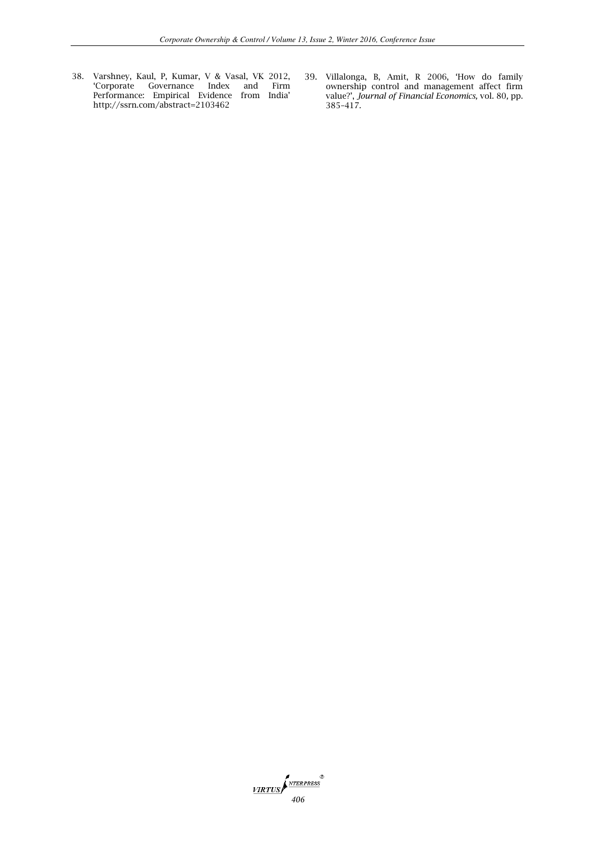- 38. Varshney, Kaul, P, Kumar, V & Vasal, VK 2012, 'Corporate Governance Index and Firm Performance: Empirical Evidence from India' <http://ssrn.com/abstract=2103462>
- 39. Villalonga, B, Amit, R 2006, 'How do family ownership control and management affect firm value?', *Journal of Financial Economics,* vol. 80*,* pp. 385–417*.*

*MRTUS MTERPRESS*